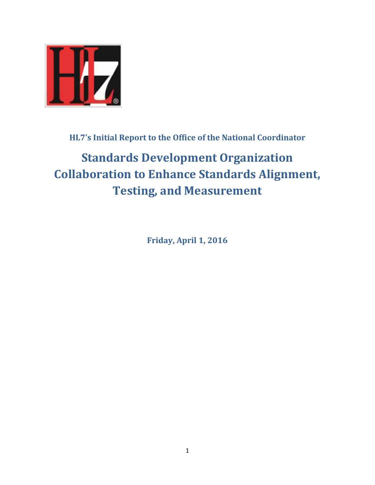

## **HL7's Initial Report to the Office of the National Coordinator**

# **Standards Development Organization Collaboration to Enhance Standards Alignment, Testing, and Measurement**

**Friday, April 1, 2016**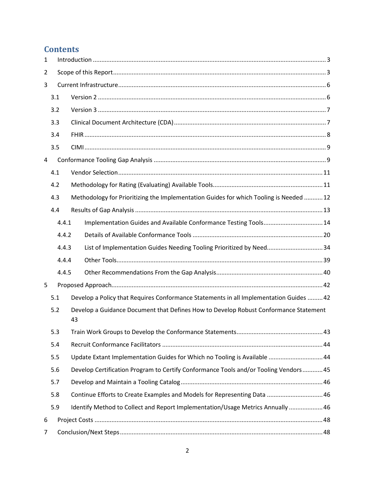## **Contents**

| $\mathbf{1}$   |       |                                                                                            |  |  |  |  |  |
|----------------|-------|--------------------------------------------------------------------------------------------|--|--|--|--|--|
| 2              |       |                                                                                            |  |  |  |  |  |
| 3              |       |                                                                                            |  |  |  |  |  |
|                | 3.1   |                                                                                            |  |  |  |  |  |
|                | 3.2   |                                                                                            |  |  |  |  |  |
|                | 3.3   |                                                                                            |  |  |  |  |  |
|                | 3.4   |                                                                                            |  |  |  |  |  |
|                | 3.5   |                                                                                            |  |  |  |  |  |
| 4              |       |                                                                                            |  |  |  |  |  |
|                | 4.1   |                                                                                            |  |  |  |  |  |
|                | 4.2   |                                                                                            |  |  |  |  |  |
|                | 4.3   | Methodology for Prioritizing the Implementation Guides for which Tooling is Needed  12     |  |  |  |  |  |
|                | 4.4   |                                                                                            |  |  |  |  |  |
|                | 4.4.1 | Implementation Guides and Available Conformance Testing Tools 14                           |  |  |  |  |  |
|                | 4.4.2 |                                                                                            |  |  |  |  |  |
|                | 4.4.3 | List of Implementation Guides Needing Tooling Prioritized by Need34                        |  |  |  |  |  |
|                | 4.4.4 |                                                                                            |  |  |  |  |  |
|                | 4.4.5 |                                                                                            |  |  |  |  |  |
| 5              |       |                                                                                            |  |  |  |  |  |
|                | 5.1   | Develop a Policy that Requires Conformance Statements in all Implementation Guides  42     |  |  |  |  |  |
|                | 5.2   | Develop a Guidance Document that Defines How to Develop Robust Conformance Statement<br>43 |  |  |  |  |  |
|                | 5.3   |                                                                                            |  |  |  |  |  |
|                | 5.4   |                                                                                            |  |  |  |  |  |
|                | 5.5   | Update Extant Implementation Guides for Which no Tooling is Available  44                  |  |  |  |  |  |
|                | 5.6   | Develop Certification Program to Certify Conformance Tools and/or Tooling Vendors45        |  |  |  |  |  |
|                | 5.7   |                                                                                            |  |  |  |  |  |
|                | 5.8   | Continue Efforts to Create Examples and Models for Representing Data  46                   |  |  |  |  |  |
|                | 5.9   | Identify Method to Collect and Report Implementation/Usage Metrics Annually  46            |  |  |  |  |  |
| 6              |       |                                                                                            |  |  |  |  |  |
| $\overline{7}$ |       |                                                                                            |  |  |  |  |  |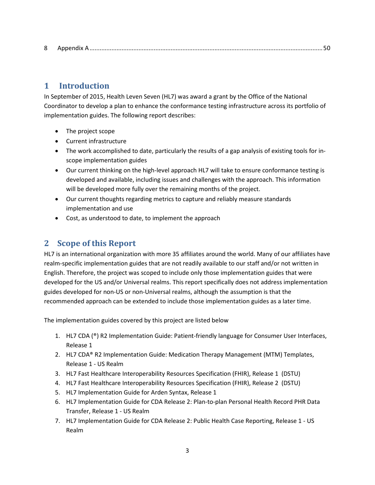|--|--|--|--|

## **1 Introduction**

In September of 2015, Health Leven Seven (HL7) was award a grant by the Office of the National Coordinator to develop a plan to enhance the conformance testing infrastructure across its portfolio of implementation guides. The following report describes:

- The project scope
- Current infrastructure
- The work accomplished to date, particularly the results of a gap analysis of existing tools for inscope implementation guides
- Our current thinking on the high-level approach HL7 will take to ensure conformance testing is developed and available, including issues and challenges with the approach. This information will be developed more fully over the remaining months of the project.
- Our current thoughts regarding metrics to capture and reliably measure standards implementation and use
- Cost, as understood to date, to implement the approach

## **2 Scope of this Report**

HL7 is an international organization with more 35 affiliates around the world. Many of our affiliates have realm-specific implementation guides that are not readily available to our staff and/or not written in English. Therefore, the project was scoped to include only those implementation guides that were developed for the US and/or Universal realms. This report specifically does not address implementation guides developed for non-US or non-Universal realms, although the assumption is that the recommended approach can be extended to include those implementation guides as a later time.

The implementation guides covered by this project are listed below

- 1. HL7 CDA (®) R2 Implementation Guide: Patient-friendly language for Consumer User Interfaces, Release 1
- 2. HL7 CDA® R2 Implementation Guide: Medication Therapy Management (MTM) Templates, Release 1 - US Realm
- 3. HL7 Fast Healthcare Interoperability Resources Specification (FHIR), Release 1 (DSTU)
- 4. HL7 Fast Healthcare Interoperability Resources Specification (FHIR), Release 2 (DSTU)
- 5. HL7 Implementation Guide for Arden Syntax, Release 1
- 6. HL7 Implementation Guide for CDA Release 2: Plan-to-plan Personal Health Record PHR Data Transfer, Release 1 - US Realm
- 7. HL7 Implementation Guide for CDA Release 2: Public Health Case Reporting, Release 1 US Realm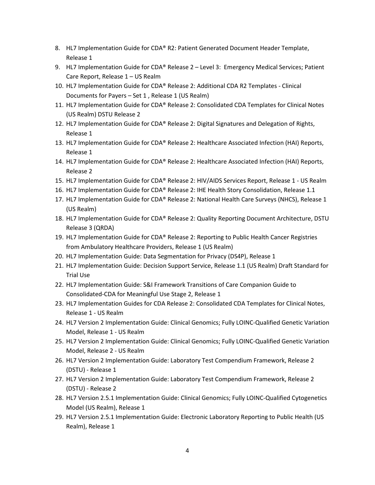- 8. HL7 Implementation Guide for CDA® R2: Patient Generated Document Header Template, Release 1
- 9. HL7 Implementation Guide for CDA® Release 2 Level 3: Emergency Medical Services; Patient Care Report, Release 1 – US Realm
- 10. HL7 Implementation Guide for CDA® Release 2: Additional CDA R2 Templates Clinical Documents for Payers – Set 1 , Release 1 (US Realm)
- 11. HL7 Implementation Guide for CDA® Release 2: Consolidated CDA Templates for Clinical Notes (US Realm) DSTU Release 2
- 12. HL7 Implementation Guide for CDA® Release 2: Digital Signatures and Delegation of Rights, Release 1
- 13. HL7 Implementation Guide for CDA® Release 2: Healthcare Associated Infection (HAI) Reports, Release 1
- 14. HL7 Implementation Guide for CDA® Release 2: Healthcare Associated Infection (HAI) Reports, Release 2
- 15. HL7 Implementation Guide for CDA® Release 2: HIV/AIDS Services Report, Release 1 US Realm
- 16. HL7 Implementation Guide for CDA® Release 2: IHE Health Story Consolidation, Release 1.1
- 17. HL7 Implementation Guide for CDA® Release 2: National Health Care Surveys (NHCS), Release 1 (US Realm)
- 18. HL7 Implementation Guide for CDA® Release 2: Quality Reporting Document Architecture, DSTU Release 3 (QRDA)
- 19. HL7 Implementation Guide for CDA® Release 2: Reporting to Public Health Cancer Registries from Ambulatory Healthcare Providers, Release 1 (US Realm)
- 20. HL7 Implementation Guide: Data Segmentation for Privacy (DS4P), Release 1
- 21. HL7 Implementation Guide: Decision Support Service, Release 1.1 (US Realm) Draft Standard for Trial Use
- 22. HL7 Implementation Guide: S&I Framework Transitions of Care Companion Guide to Consolidated-CDA for Meaningful Use Stage 2, Release 1
- 23. HL7 Implementation Guides for CDA Release 2: Consolidated CDA Templates for Clinical Notes, Release 1 - US Realm
- 24. HL7 Version 2 Implementation Guide: Clinical Genomics; Fully LOINC-Qualified Genetic Variation Model, Release 1 - US Realm
- 25. HL7 Version 2 Implementation Guide: Clinical Genomics; Fully LOINC-Qualified Genetic Variation Model, Release 2 - US Realm
- 26. HL7 Version 2 Implementation Guide: Laboratory Test Compendium Framework, Release 2 (DSTU) - Release 1
- 27. HL7 Version 2 Implementation Guide: Laboratory Test Compendium Framework, Release 2 (DSTU) - Release 2
- 28. HL7 Version 2.5.1 Implementation Guide: Clinical Genomics; Fully LOINC-Qualified Cytogenetics Model (US Realm), Release 1
- 29. HL7 Version 2.5.1 Implementation Guide: Electronic Laboratory Reporting to Public Health (US Realm), Release 1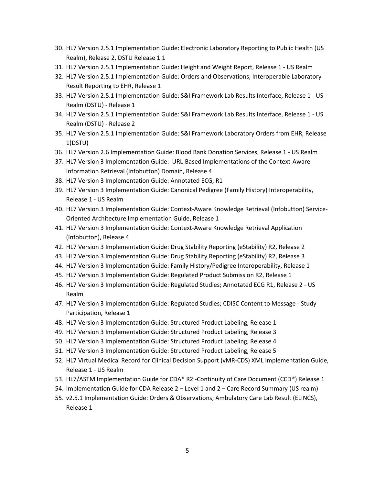- 30. HL7 Version 2.5.1 Implementation Guide: Electronic Laboratory Reporting to Public Health (US Realm), Release 2, DSTU Release 1.1
- 31. HL7 Version 2.5.1 Implementation Guide: Height and Weight Report, Release 1 US Realm
- 32. HL7 Version 2.5.1 Implementation Guide: Orders and Observations; Interoperable Laboratory Result Reporting to EHR, Release 1
- 33. HL7 Version 2.5.1 Implementation Guide: S&I Framework Lab Results Interface, Release 1 US Realm (DSTU) - Release 1
- 34. HL7 Version 2.5.1 Implementation Guide: S&I Framework Lab Results Interface, Release 1 US Realm (DSTU) - Release 2
- 35. HL7 Version 2.5.1 Implementation Guide: S&I Framework Laboratory Orders from EHR, Release 1(DSTU)
- 36. HL7 Version 2.6 Implementation Guide: Blood Bank Donation Services, Release 1 US Realm
- 37. HL7 Version 3 Implementation Guide: URL-Based Implementations of the Context-Aware Information Retrieval (Infobutton) Domain, Release 4
- 38. HL7 Version 3 Implementation Guide: Annotated ECG, R1
- 39. HL7 Version 3 Implementation Guide: Canonical Pedigree (Family History) Interoperability, Release 1 - US Realm
- 40. HL7 Version 3 Implementation Guide: Context-Aware Knowledge Retrieval (Infobutton) Service-Oriented Architecture Implementation Guide, Release 1
- 41. HL7 Version 3 Implementation Guide: Context-Aware Knowledge Retrieval Application (Infobutton), Release 4
- 42. HL7 Version 3 Implementation Guide: Drug Stability Reporting (eStability) R2, Release 2
- 43. HL7 Version 3 Implementation Guide: Drug Stability Reporting (eStability) R2, Release 3
- 44. HL7 Version 3 Implementation Guide: Family History/Pedigree Interoperability, Release 1
- 45. HL7 Version 3 Implementation Guide: Regulated Product Submission R2, Release 1
- 46. HL7 Version 3 Implementation Guide: Regulated Studies; Annotated ECG R1, Release 2 US Realm
- 47. HL7 Version 3 Implementation Guide: Regulated Studies; CDISC Content to Message Study Participation, Release 1
- 48. HL7 Version 3 Implementation Guide: Structured Product Labeling, Release 1
- 49. HL7 Version 3 Implementation Guide: Structured Product Labeling, Release 3
- 50. HL7 Version 3 Implementation Guide: Structured Product Labeling, Release 4
- 51. HL7 Version 3 Implementation Guide: Structured Product Labeling, Release 5
- 52. HL7 Virtual Medical Record for Clinical Decision Support (vMR-CDS) XML Implementation Guide, Release 1 - US Realm
- 53. HL7/ASTM Implementation Guide for CDA® R2 -Continuity of Care Document (CCD®) Release 1
- 54. Implementation Guide for CDA Release 2 Level 1 and 2 Care Record Summary (US realm)
- 55. v2.5.1 Implementation Guide: Orders & Observations; Ambulatory Care Lab Result (ELINCS), Release 1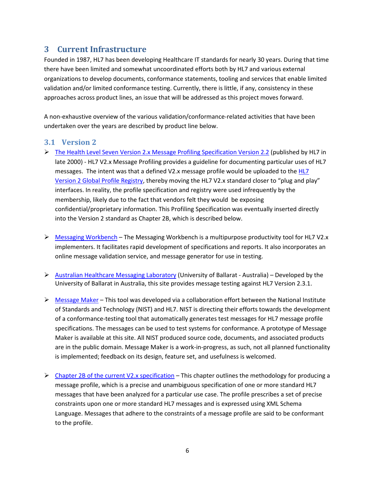## **3 Current Infrastructure**

Founded in 1987, HL7 has been developing Healthcare IT standards for nearly 30 years. During that time there have been limited and somewhat uncoordinated efforts both by HL7 and various external organizations to develop documents, conformance statements, tooling and services that enable limited validation and/or limited conformance testing. Currently, there is little, if any, consistency in these approaches across product lines, an issue that will be addressed as this project moves forward.

A non-exhaustive overview of the various validation/conformance-related activities that have been undertaken over the years are described by product line below.

#### **3.1 Version 2**

- The Health Level Seven Version 2.x Message Profiling Specification Version 2.2 (published by HL7 in late 2000) - HL7 V2.x Message Profiling provides a guideline for documenting particular uses of HL7 messages. The intent was that a defined V2.x message profile would be uploaded to the HL7 Version 2 Global Profile Registry, thereby moving the HL7 V2.x standard closer to "plug and play" interfaces. In reality, the profile specification and registry were used infrequently by the membership, likely due to the fact that vendors felt they would be exposing confidential/proprietary information. This Profiling Specification was eventually inserted directly into the Version 2 standard as Chapter 2B, which is described below.
- $\triangleright$  Messaging Workbench The Messaging Workbench is a multipurpose productivity tool for HL7 V2.x implementers. It facilitates rapid development of specifications and reports. It also incorporates an online message validation service, and message generator for use in testing.
- $\triangleright$  Australian Healthcare Messaging Laboratory (University of Ballarat Australia) Developed by the University of Ballarat in Australia, this site provides message testing against HL7 Version 2.3.1.
- $\triangleright$  Message Maker This tool was developed via a collaboration effort between the National Institute of Standards and Technology (NIST) and HL7. NIST is directing their efforts towards the development of a conformance-testing tool that automatically generates test messages for HL7 message profile specifications. The messages can be used to test systems for conformance. A prototype of Message Maker is available at this site. All NIST produced source code, documents, and associated products are in the public domain. Message Maker is a work-in-progress, as such, not all planned functionality is implemented; feedback on its design, feature set, and usefulness is welcomed.
- $\triangleright$  Chapter 2B of the current V2.x specification This chapter outlines the methodology for producing a message profile, which is a precise and unambiguous specification of one or more standard HL7 messages that have been analyzed for a particular use case. The profile prescribes a set of precise constraints upon one or more standard HL7 messages and is expressed using XML Schema Language. Messages that adhere to the constraints of a message profile are said to be conformant to the profile.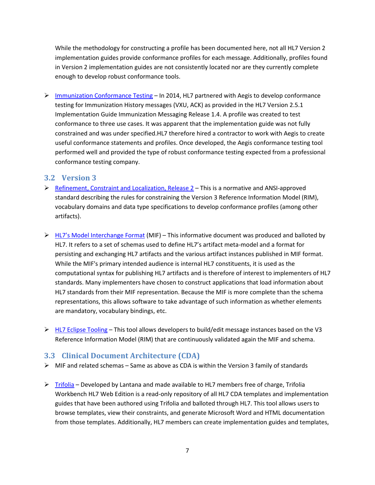While the methodology for constructing a profile has been documented here, not all HL7 Version 2 implementation guides provide conformance profiles for each message. Additionally, profiles found in Version 2 implementation guides are not consistently located nor are they currently complete enough to develop robust conformance tools.

 $\triangleright$  Immunization Conformance Testing – In 2014, HL7 partnered with Aegis to develop conformance testing for Immunization History messages (VXU, ACK) as provided in the HL7 Version 2.5.1 Implementation Guide Immunization Messaging Release 1.4. A profile was created to test conformance to three use cases. It was apparent that the implementation guide was not fully constrained and was under specified.HL7 therefore hired a contractor to work with Aegis to create useful conformance statements and profiles. Once developed, the Aegis conformance testing tool performed well and provided the type of robust conformance testing expected from a professional conformance testing company.

#### **3.2 Version 3**

- $\triangleright$  Refinement, Constraint and Localization, Release 2 This is a normative and ANSI-approved standard describing the rules for constraining the Version 3 Reference Information Model (RIM), vocabulary domains and data type specifications to develop conformance profiles (among other artifacts).
- $\triangleright$  HL7's Model Interchange Format (MIF) This informative document was produced and balloted by HL7. It refers to a set of schemas used to define HL7's artifact meta-model and a format for persisting and exchanging HL7 artifacts and the various artifact instances published in MIF format. While the MIF's primary intended audience is internal HL7 constituents, it is used as the computational syntax for publishing HL7 artifacts and is therefore of interest to implementers of HL7 standards. Many implementers have chosen to construct applications that load information about HL7 standards from their MIF representation. Because the MIF is more complete than the schema representations, this allows software to take advantage of such information as whether elements are mandatory, vocabulary bindings, etc.
- $\triangleright$  HL7 Eclipse Tooling This tool allows developers to build/edit message instances based on the V3 Reference Information Model (RIM) that are continuously validated again the MIF and schema.

#### **3.3 Clinical Document Architecture (CDA)**

- $\triangleright$  MIF and related schemas Same as above as CDA is within the Version 3 family of standards
- $\triangleright$  Trifolia Developed by Lantana and made available to HL7 members free of charge, Trifolia Workbench HL7 Web Edition is a read-only repository of all HL7 CDA templates and implementation guides that have been authored using Trifolia and balloted through HL7. This tool allows users to browse templates, view their constraints, and generate Microsoft Word and HTML documentation from those templates. Additionally, HL7 members can create implementation guides and templates,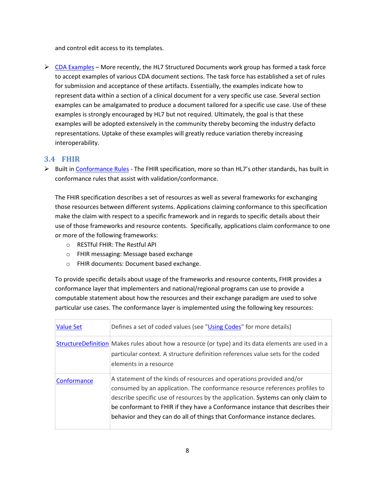and control edit access to its templates.

 $\triangleright$  CDA Examples – More recently, the HL7 Structured Documents work group has formed a task force to accept examples of various CDA document sections. The task force has established a set of rules for submission and acceptance of these artifacts. Essentially, the examples indicate how to represent data within a section of a clinical document for a very specific use case. Several section examples can be amalgamated to produce a document tailored for a specific use case. Use of these examples is strongly encouraged by HL7 but not required. Ultimately, the goal is that these examples will be adopted extensively in the community thereby becoming the industry defacto representations. Uptake of these examples will greatly reduce variation thereby increasing interoperability.

#### **3.4 FHIR**

 $\triangleright$  Built in Conformance Rules - The FHIR specification, more so than HL7's other standards, has built in conformance rules that assist with validation/conformance.

The FHIR specification describes a set of resources as well as several frameworks for exchanging those resources between different systems. Applications claiming conformance to this specification make the claim with respect to a specific framework and in regards to specific details about their use of those frameworks and resource contents. Specifically, applications claim conformance to one or more of the following frameworks:

- o RESTful FHIR: The Restful API
- o FHIR messaging: Message based exchange
- o FHIR documents: Document based exchange.

To provide specific details about usage of the frameworks and resource contents, FHIR provides a conformance layer that implementers and national/regional programs can use to provide a computable statement about how the resources and their exchange paradigm are used to solve particular use cases. The conformance layer is implemented using the following key resources:

| <b>Value Set</b> | Defines a set of coded values (see "Using Codes" for more details)                                                                                                                                                                                                                                                                                                                                      |
|------------------|---------------------------------------------------------------------------------------------------------------------------------------------------------------------------------------------------------------------------------------------------------------------------------------------------------------------------------------------------------------------------------------------------------|
|                  | StructureDefinition Makes rules about how a resource (or type) and its data elements are used in a<br>particular context. A structure definition references value sets for the coded<br>elements in a resource                                                                                                                                                                                          |
| Conformance      | A statement of the kinds of resources and operations provided and/or<br>consumed by an application. The conformance resource references profiles to<br>describe specific use of resources by the application. Systems can only claim to<br>be conformant to FHIR if they have a Conformance instance that describes their<br>behavior and they can do all of things that Conformance instance declares. |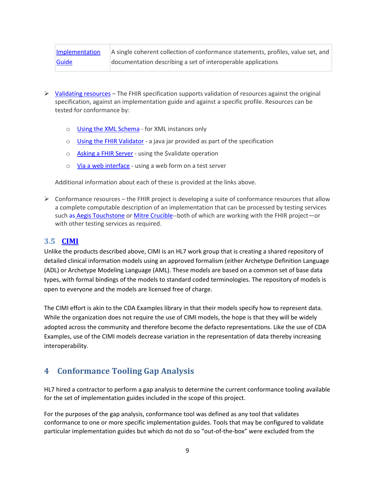| Implementation | A single coherent collection of conformance statements, profiles, value set, and |
|----------------|----------------------------------------------------------------------------------|
| Guide          | documentation describing a set of interoperable applications                     |

- $\triangleright$  Validating resources The FHIR specification supports validation of resources against the original specification, against an implementation guide and against a specific profile. Resources can be tested for conformance by:
	- o Using the XML Schema for XML instances only
	- o Using the FHIR Validator a java jar provided as part of the specification
	- o Asking a FHIR Server using the Svalidate operation
	- o Via a web interface using a web form on a test server

Additional information about each of these is provided at the links above.

 $\triangleright$  Conformance resources – the FHIR project is developing a suite of conformance resources that allow a complete computable description of an implementation that can be processed by testing services such as Aegis Touchstone or Mitre Crucible--both of which are working with the FHIR project—or with other testing services as required.

#### **3.5 CIMI**

Unlike the products described above, CIMI is an HL7 work group that is creating a shared repository of detailed clinical information models using an approved formalism (either Archetype Definition Language (ADL) or Archetype Modeling Language (AML). These models are based on a common set of base data types, with formal bindings of the models to standard coded terminologies. The repository of models is open to everyone and the models are licensed free of charge.

The CIMI effort is akin to the CDA Examples library in that their models specify how to represent data. While the organization does not require the use of CIMI models, the hope is that they will be widely adopted across the community and therefore become the defacto representations. Like the use of CDA Examples, use of the CIMI models decrease variation in the representation of data thereby increasing interoperability.

## **4 Conformance Tooling Gap Analysis**

HL7 hired a contractor to perform a gap analysis to determine the current conformance tooling available for the set of implementation guides included in the scope of this project.

For the purposes of the gap analysis, conformance tool was defined as any tool that validates conformance to one or more specific implementation guides. Tools that may be configured to validate particular implementation guides but which do not do so "out-of-the-box" were excluded from the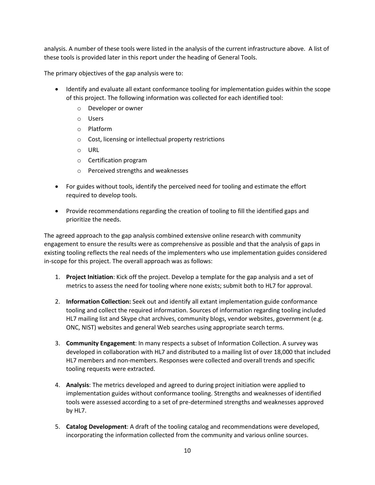analysis. A number of these tools were listed in the analysis of the current infrastructure above. A list of these tools is provided later in this report under the heading of General Tools.

The primary objectives of the gap analysis were to:

- Identify and evaluate all extant conformance tooling for implementation guides within the scope of this project. The following information was collected for each identified tool:
	- o Developer or owner
	- o Users
	- o Platform
	- o Cost, licensing or intellectual property restrictions
	- o URL
	- o Certification program
	- o Perceived strengths and weaknesses
- For guides without tools, identify the perceived need for tooling and estimate the effort required to develop tools.
- Provide recommendations regarding the creation of tooling to fill the identified gaps and prioritize the needs.

The agreed approach to the gap analysis combined extensive online research with community engagement to ensure the results were as comprehensive as possible and that the analysis of gaps in existing tooling reflects the real needs of the implementers who use implementation guides considered in-scope for this project. The overall approach was as follows:

- 1. **Project Initiation**: Kick off the project. Develop a template for the gap analysis and a set of metrics to assess the need for tooling where none exists; submit both to HL7 for approval.
- 2. **Information Collection:** Seek out and identify all extant implementation guide conformance tooling and collect the required information. Sources of information regarding tooling included HL7 mailing list and Skype chat archives, community blogs, vendor websites, government (e.g. ONC, NIST) websites and general Web searches using appropriate search terms.
- 3. **Community Engagement**: In many respects a subset of Information Collection. A survey was developed in collaboration with HL7 and distributed to a mailing list of over 18,000 that included HL7 members and non-members. Responses were collected and overall trends and specific tooling requests were extracted.
- 4. **Analysis**: The metrics developed and agreed to during project initiation were applied to implementation guides without conformance tooling. Strengths and weaknesses of identified tools were assessed according to a set of pre-determined strengths and weaknesses approved by HL7.
- 5. **Catalog Development**: A draft of the tooling catalog and recommendations were developed, incorporating the information collected from the community and various online sources.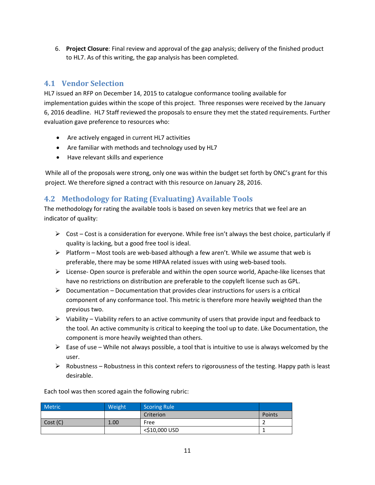6. **Project Closure**: Final review and approval of the gap analysis; delivery of the finished product to HL7. As of this writing, the gap analysis has been completed.

## **4.1 Vendor Selection**

HL7 issued an RFP on December 14, 2015 to catalogue conformance tooling available for implementation guides within the scope of this project. Three responses were received by the January 6, 2016 deadline. HL7 Staff reviewed the proposals to ensure they met the stated requirements. Further evaluation gave preference to resources who:

- Are actively engaged in current HL7 activities
- Are familiar with methods and technology used by HL7
- Have relevant skills and experience

While all of the proposals were strong, only one was within the budget set forth by ONC's grant for this project. We therefore signed a contract with this resource on January 28, 2016.

## **4.2 Methodology for Rating (Evaluating) Available Tools**

The methodology for rating the available tools is based on seven key metrics that we feel are an indicator of quality:

- $\triangleright$  Cost Cost is a consideration for everyone. While free isn't always the best choice, particularly if quality is lacking, but a good free tool is ideal.
- $\triangleright$  Platform Most tools are web-based although a few aren't. While we assume that web is preferable, there may be some HIPAA related issues with using web-based tools.
- $\triangleright$  License- Open source is preferable and within the open source world, Apache-like licenses that have no restrictions on distribution are preferable to the copyleft license such as GPL.
- $\triangleright$  Documentation Documentation that provides clear instructions for users is a critical component of any conformance tool. This metric is therefore more heavily weighted than the previous two.
- $\triangleright$  Viability Viability refers to an active community of users that provide input and feedback to the tool. An active community is critical to keeping the tool up to date. Like Documentation, the component is more heavily weighted than others.
- Ease of use While not always possible, a tool that is intuitive to use is always welcomed by the user.
- $\triangleright$  Robustness Robustness in this context refers to rigorousness of the testing. Happy path is least desirable.

| <b>Metric</b> | Weight | <b>Scoring Rule</b> |        |
|---------------|--------|---------------------|--------|
|               |        | Criterion           | Points |
| Cost (C)      | 1.00   | Free                |        |
|               |        | <\$10,000 USD       |        |

Each tool was then scored again the following rubric: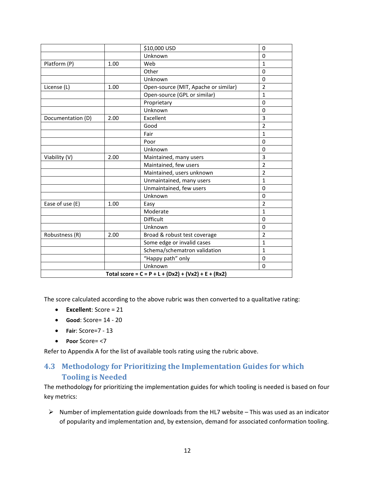|                   |      | \$10,000 USD                                          | 0              |
|-------------------|------|-------------------------------------------------------|----------------|
|                   |      | Unknown                                               | 0              |
| Platform (P)      | 1.00 | Web                                                   | $\mathbf{1}$   |
|                   |      | Other                                                 | $\Omega$       |
|                   |      | Unknown                                               | 0              |
| License (L)       | 1.00 | Open-source (MIT, Apache or similar)                  | $\overline{2}$ |
|                   |      | Open-source (GPL or similar)                          | $\mathbf 1$    |
|                   |      | Proprietary                                           | 0              |
|                   |      | Unknown                                               | $\Omega$       |
| Documentation (D) | 2.00 | Excellent                                             | 3              |
|                   |      | Good                                                  | 2              |
|                   |      | Fair                                                  | $\mathbf{1}$   |
|                   |      | Poor                                                  | $\Omega$       |
|                   |      | Unknown                                               | $\Omega$       |
| Viability (V)     | 2.00 | Maintained, many users                                | 3              |
|                   |      | Maintained, few users                                 | $\overline{2}$ |
|                   |      | Maintained, users unknown                             | $\overline{2}$ |
|                   |      | Unmaintained, many users                              | $\mathbf{1}$   |
|                   |      | Unmaintained, few users                               | 0              |
|                   |      | Unknown                                               | $\Omega$       |
| Ease of use (E)   | 1.00 | Easy                                                  | $\overline{2}$ |
|                   |      | Moderate                                              | $\mathbf{1}$   |
|                   |      | Difficult                                             | 0              |
|                   |      | Unknown                                               | 0              |
| Robustness (R)    | 2.00 | Broad & robust test coverage                          | $\overline{2}$ |
|                   |      | Some edge or invalid cases                            | $\mathbf{1}$   |
|                   |      | Schema/schematron validation                          | $\mathbf{1}$   |
|                   |      | "Happy path" only                                     | 0              |
|                   |      | Unknown                                               | 0              |
|                   |      | Total score = $C = P + L + (Dx2) + (Vx2) + E + (Rx2)$ |                |

The score calculated according to the above rubric was then converted to a qualitative rating:

- **Excellent**: Score = 21
- **Good**: Score= 14 20
- **Fair**: Score=7 13
- **Poor** Score= <7

Refer to Appendix A for the list of available tools rating using the rubric above.

## **4.3 Methodology for Prioritizing the Implementation Guides for which Tooling is Needed**

The methodology for prioritizing the implementation guides for which tooling is needed is based on four key metrics:

 $\triangleright$  Number of implementation guide downloads from the HL7 website – This was used as an indicator of popularity and implementation and, by extension, demand for associated conformation tooling.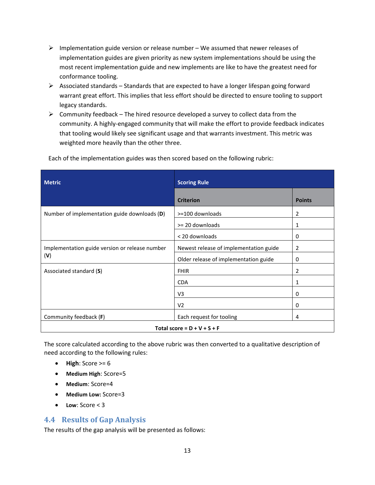- $\triangleright$  Implementation guide version or release number We assumed that newer releases of implementation guides are given priority as new system implementations should be using the most recent implementation guide and new implements are like to have the greatest need for conformance tooling.
- $\triangleright$  Associated standards Standards that are expected to have a longer lifespan going forward warrant great effort. This implies that less effort should be directed to ensure tooling to support legacy standards.
- $\triangleright$  Community feedback The hired resource developed a survey to collect data from the community. A highly-engaged community that will make the effort to provide feedback indicates that tooling would likely see significant usage and that warrants investment. This metric was weighted more heavily than the other three.

| <b>Metric</b>                                  | <b>Scoring Rule</b>                    |               |  |  |  |
|------------------------------------------------|----------------------------------------|---------------|--|--|--|
|                                                | <b>Criterion</b>                       | <b>Points</b> |  |  |  |
| Number of implementation guide downloads (D)   | >=100 downloads                        | 2             |  |  |  |
|                                                | >= 20 downloads                        | 1             |  |  |  |
|                                                | < 20 downloads                         | 0             |  |  |  |
| Implementation guide version or release number | Newest release of implementation guide | 2             |  |  |  |
| (V)                                            | Older release of implementation guide  | 0             |  |  |  |
| Associated standard (S)                        | <b>FHIR</b>                            | 2             |  |  |  |
|                                                | <b>CDA</b>                             | 1             |  |  |  |
|                                                | V3                                     | 0             |  |  |  |
|                                                | V <sub>2</sub>                         | 0             |  |  |  |
| Community feedback (F)                         | Each request for tooling               | 4             |  |  |  |
| Total score = $D + V + S + F$                  |                                        |               |  |  |  |

Each of the implementation guides was then scored based on the following rubric:

The score calculated according to the above rubric was then converted to a qualitative description of need according to the following rules:

- $\bullet$  **High**: Score  $\geq 6$
- **Medium High**: Score=5
- **Medium**: Score=4
- **Medium Low:** Score=3
- **Low**: Score < 3

## **4.4 Results of Gap Analysis**

The results of the gap analysis will be presented as follows: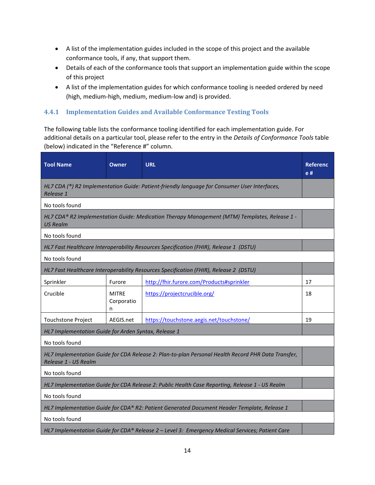- A list of the implementation guides included in the scope of this project and the available conformance tools, if any, that support them.
- Details of each of the conformance tools that support an implementation guide within the scope of this project
- A list of the implementation guides for which conformance tooling is needed ordered by need (high, medium-high, medium, medium-low and) is provided.

#### **4.4.1 Implementation Guides and Available Conformance Testing Tools**

The following table lists the conformance tooling identified for each implementation guide. For additional details on a particular tool, please refer to the entry in the *Details of Conformance Tools* table (below) indicated in the "Reference #" column.

| <b>Tool Name</b>                                                                                                           | <b>Owner</b>                    | <b>URL</b>                                                                                   | <b>Referenc</b><br>e# |  |  |
|----------------------------------------------------------------------------------------------------------------------------|---------------------------------|----------------------------------------------------------------------------------------------|-----------------------|--|--|
| Release 1                                                                                                                  |                                 | HL7 CDA (®) R2 Implementation Guide: Patient-friendly language for Consumer User Interfaces, |                       |  |  |
| No tools found                                                                                                             |                                 |                                                                                              |                       |  |  |
| <b>US Realm</b>                                                                                                            |                                 | HL7 CDA® R2 Implementation Guide: Medication Therapy Management (MTM) Templates, Release 1 - |                       |  |  |
| No tools found                                                                                                             |                                 |                                                                                              |                       |  |  |
|                                                                                                                            |                                 | HL7 Fast Healthcare Interoperability Resources Specification (FHIR), Release 1 (DSTU)        |                       |  |  |
| No tools found                                                                                                             |                                 |                                                                                              |                       |  |  |
|                                                                                                                            |                                 | HL7 Fast Healthcare Interoperability Resources Specification (FHIR), Release 2 (DSTU)        |                       |  |  |
| Sprinkler                                                                                                                  | Furore                          | http://fhir.furore.com/Products#sprinkler                                                    | 17                    |  |  |
| Crucible                                                                                                                   | <b>MITRE</b><br>Corporatio<br>n | https://projectcrucible.org/                                                                 | 18                    |  |  |
| <b>Touchstone Project</b>                                                                                                  | AEGIS.net                       | https://touchstone.aegis.net/touchstone/                                                     | 19                    |  |  |
| HL7 Implementation Guide for Arden Syntax, Release 1                                                                       |                                 |                                                                                              |                       |  |  |
| No tools found                                                                                                             |                                 |                                                                                              |                       |  |  |
| HL7 Implementation Guide for CDA Release 2: Plan-to-plan Personal Health Record PHR Data Transfer,<br>Release 1 - US Realm |                                 |                                                                                              |                       |  |  |
| No tools found                                                                                                             |                                 |                                                                                              |                       |  |  |
| HL7 Implementation Guide for CDA Release 2: Public Health Case Reporting, Release 1 - US Realm                             |                                 |                                                                                              |                       |  |  |
| No tools found                                                                                                             |                                 |                                                                                              |                       |  |  |
| HL7 Implementation Guide for CDA® R2: Patient Generated Document Header Template, Release 1                                |                                 |                                                                                              |                       |  |  |
| No tools found                                                                                                             |                                 |                                                                                              |                       |  |  |
| HL7 Implementation Guide for CDA® Release 2 - Level 3: Emergency Medical Services; Patient Care                            |                                 |                                                                                              |                       |  |  |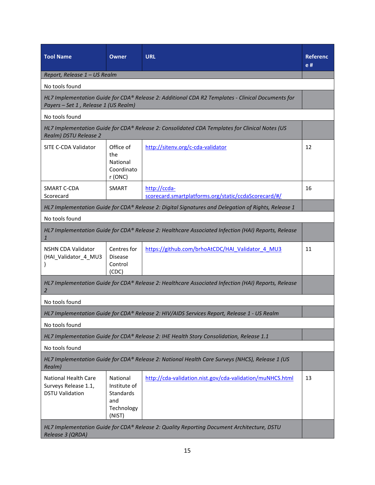| <b>Tool Name</b>                                                                                          | Owner                                                                | <b>URL</b>                                                                                          | <b>Referenc</b><br>e # |  |  |
|-----------------------------------------------------------------------------------------------------------|----------------------------------------------------------------------|-----------------------------------------------------------------------------------------------------|------------------------|--|--|
| Report, Release 1 - US Realm                                                                              |                                                                      |                                                                                                     |                        |  |  |
| No tools found                                                                                            |                                                                      |                                                                                                     |                        |  |  |
| Payers - Set 1, Release 1 (US Realm)                                                                      |                                                                      | HL7 Implementation Guide for CDA® Release 2: Additional CDA R2 Templates - Clinical Documents for   |                        |  |  |
| No tools found                                                                                            |                                                                      |                                                                                                     |                        |  |  |
| Realm) DSTU Release 2                                                                                     |                                                                      | HL7 Implementation Guide for CDA® Release 2: Consolidated CDA Templates for Clinical Notes (US      |                        |  |  |
| SITE C-CDA Validator                                                                                      | Office of<br>the<br>National<br>Coordinato<br>r (ONC)                | http://sitenv.org/c-cda-validator                                                                   | 12                     |  |  |
| SMART C-CDA<br>Scorecard                                                                                  | <b>SMART</b>                                                         | http://ccda-<br>scorecard.smartplatforms.org/static/ccdaScorecard/#/                                | 16                     |  |  |
|                                                                                                           |                                                                      | HL7 Implementation Guide for CDA® Release 2: Digital Signatures and Delegation of Rights, Release 1 |                        |  |  |
| No tools found                                                                                            |                                                                      |                                                                                                     |                        |  |  |
|                                                                                                           |                                                                      | HL7 Implementation Guide for CDA® Release 2: Healthcare Associated Infection (HAI) Reports, Release |                        |  |  |
| <b>NSHN CDA Validator</b><br>(HAI_Validator_4_MU3                                                         | Centres for<br><b>Disease</b><br>Control<br>(CDC)                    | https://github.com/brhoAtCDC/HAI Validator 4 MU3                                                    | 11                     |  |  |
| 2                                                                                                         |                                                                      | HL7 Implementation Guide for CDA® Release 2: Healthcare Associated Infection (HAI) Reports, Release |                        |  |  |
| No tools found                                                                                            |                                                                      |                                                                                                     |                        |  |  |
|                                                                                                           |                                                                      | HL7 Implementation Guide for CDA® Release 2: HIV/AIDS Services Report, Release 1 - US Realm         |                        |  |  |
| No tools found                                                                                            |                                                                      |                                                                                                     |                        |  |  |
|                                                                                                           |                                                                      | HL7 Implementation Guide for CDA® Release 2: IHE Health Story Consolidation, Release 1.1            |                        |  |  |
| No tools found                                                                                            |                                                                      |                                                                                                     |                        |  |  |
| HL7 Implementation Guide for CDA® Release 2: National Health Care Surveys (NHCS), Release 1 (US<br>Realm) |                                                                      |                                                                                                     |                        |  |  |
| <b>National Health Care</b><br>Surveys Release 1.1,<br><b>DSTU Validation</b>                             | National<br>Institute of<br>Standards<br>and<br>Technology<br>(NIST) | http://cda-validation.nist.gov/cda-validation/muNHCS.html                                           | 13                     |  |  |
| Release 3 (QRDA)                                                                                          |                                                                      | HL7 Implementation Guide for CDA® Release 2: Quality Reporting Document Architecture, DSTU          |                        |  |  |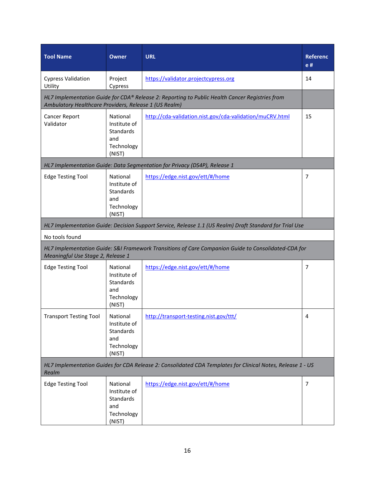| <b>Tool Name</b>                                      | <b>Owner</b>                                                                                               | <b>URL</b>                                                                                          | Referenc<br>e # |  |  |  |
|-------------------------------------------------------|------------------------------------------------------------------------------------------------------------|-----------------------------------------------------------------------------------------------------|-----------------|--|--|--|
| <b>Cypress Validation</b><br>Utility                  | Project<br>Cypress                                                                                         | https://validator.projectcypress.org                                                                | 14              |  |  |  |
| Ambulatory Healthcare Providers, Release 1 (US Realm) |                                                                                                            | HL7 Implementation Guide for CDA® Release 2: Reporting to Public Health Cancer Registries from      |                 |  |  |  |
| Cancer Report<br>Validator                            | National<br>Institute of<br>Standards<br>and<br>Technology<br>(NIST)                                       | http://cda-validation.nist.gov/cda-validation/muCRV.html                                            | 15              |  |  |  |
|                                                       |                                                                                                            | HL7 Implementation Guide: Data Segmentation for Privacy (DS4P), Release 1                           |                 |  |  |  |
| <b>Edge Testing Tool</b>                              | National<br>Institute of<br>Standards<br>and<br>Technology<br>(NIST)                                       | https://edge.nist.gov/ett/#/home                                                                    | $\overline{7}$  |  |  |  |
|                                                       | HL7 Implementation Guide: Decision Support Service, Release 1.1 (US Realm) Draft Standard for Trial Use    |                                                                                                     |                 |  |  |  |
| No tools found                                        |                                                                                                            |                                                                                                     |                 |  |  |  |
| Meaningful Use Stage 2, Release 1                     |                                                                                                            | HL7 Implementation Guide: S&I Framework Transitions of Care Companion Guide to Consolidated-CDA for |                 |  |  |  |
| <b>Edge Testing Tool</b>                              | National<br>Institute of<br>Standards<br>and<br>Technology<br>(NIST)                                       | https://edge.nist.gov/ett/#/home                                                                    | $\overline{7}$  |  |  |  |
| <b>Transport Testing Tool</b>                         | National<br>Institute of<br>Standards<br>and<br>Technology<br>(NIST)                                       | http://transport-testing.nist.gov/ttt/                                                              | 4               |  |  |  |
| Realm                                                 | HL7 Implementation Guides for CDA Release 2: Consolidated CDA Templates for Clinical Notes, Release 1 - US |                                                                                                     |                 |  |  |  |
| <b>Edge Testing Tool</b>                              | National<br>Institute of<br><b>Standards</b><br>and<br>Technology<br>(NIST)                                | https://edge.nist.gov/ett/#/home                                                                    | $\overline{7}$  |  |  |  |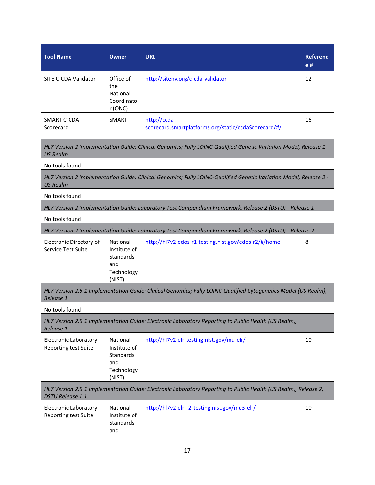| <b>Tool Name</b>                                            | Owner                                                                | <b>URL</b>                                                                                                        | <b>Referenc</b><br>e # |
|-------------------------------------------------------------|----------------------------------------------------------------------|-------------------------------------------------------------------------------------------------------------------|------------------------|
| SITE C-CDA Validator                                        | Office of<br>the<br>National<br>Coordinato<br>r (ONC)                | http://sitenv.org/c-cda-validator                                                                                 | 12                     |
| SMART C-CDA<br>Scorecard                                    | <b>SMART</b>                                                         | http://ccda-<br>scorecard.smartplatforms.org/static/ccdaScorecard/#/                                              | 16                     |
| <b>US Realm</b>                                             |                                                                      | HL7 Version 2 Implementation Guide: Clinical Genomics; Fully LOINC-Qualified Genetic Variation Model, Release 1 - |                        |
| No tools found                                              |                                                                      |                                                                                                                   |                        |
| <b>US Realm</b>                                             |                                                                      | HL7 Version 2 Implementation Guide: Clinical Genomics; Fully LOINC-Qualified Genetic Variation Model, Release 2 - |                        |
| No tools found                                              |                                                                      |                                                                                                                   |                        |
|                                                             |                                                                      | HL7 Version 2 Implementation Guide: Laboratory Test Compendium Framework, Release 2 (DSTU) - Release 1            |                        |
| No tools found                                              |                                                                      |                                                                                                                   |                        |
|                                                             |                                                                      | HL7 Version 2 Implementation Guide: Laboratory Test Compendium Framework, Release 2 (DSTU) - Release 2            |                        |
| Electronic Directory of<br>Service Test Suite               | National<br>Institute of<br>Standards<br>and<br>Technology<br>(NIST) | http://hl7v2-edos-r1-testing.nist.gov/edos-r2/#/home                                                              | 8                      |
| Release 1                                                   |                                                                      | HL7 Version 2.5.1 Implementation Guide: Clinical Genomics; Fully LOINC-Qualified Cytogenetics Model (US Realm),   |                        |
| No tools found                                              |                                                                      |                                                                                                                   |                        |
| Release 1                                                   |                                                                      | HL7 Version 2.5.1 Implementation Guide: Electronic Laboratory Reporting to Public Health (US Realm),              |                        |
| <b>Electronic Laboratory</b><br>Reporting test Suite        | National<br>Institute of<br>Standards<br>and<br>Technology<br>(NIST) | http://hl7v2-elr-testing.nist.gov/mu-elr/                                                                         | 10                     |
| <b>DSTU Release 1.1</b>                                     |                                                                      | HL7 Version 2.5.1 Implementation Guide: Electronic Laboratory Reporting to Public Health (US Realm), Release 2,   |                        |
| <b>Electronic Laboratory</b><br><b>Reporting test Suite</b> | National<br>Institute of<br>Standards<br>and                         | http://hl7v2-elr-r2-testing.nist.gov/mu3-elr/                                                                     | 10                     |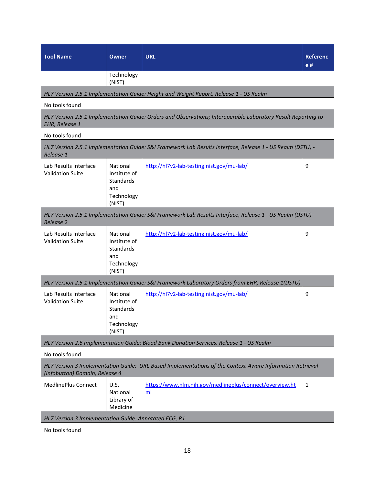| <b>Tool Name</b>                                                                                                                           | <b>Owner</b>                                                                | <b>URL</b>                                                                                                    | <b>Referenc</b><br>e# |  |
|--------------------------------------------------------------------------------------------------------------------------------------------|-----------------------------------------------------------------------------|---------------------------------------------------------------------------------------------------------------|-----------------------|--|
|                                                                                                                                            | Technology<br>(NIST)                                                        |                                                                                                               |                       |  |
|                                                                                                                                            |                                                                             | HL7 Version 2.5.1 Implementation Guide: Height and Weight Report, Release 1 - US Realm                        |                       |  |
| No tools found                                                                                                                             |                                                                             |                                                                                                               |                       |  |
| <b>EHR, Release 1</b>                                                                                                                      |                                                                             | HL7 Version 2.5.1 Implementation Guide: Orders and Observations; Interoperable Laboratory Result Reporting to |                       |  |
| No tools found                                                                                                                             |                                                                             |                                                                                                               |                       |  |
| Release 1                                                                                                                                  |                                                                             | HL7 Version 2.5.1 Implementation Guide: S&I Framework Lab Results Interface, Release 1 - US Realm (DSTU) -    |                       |  |
| Lab Results Interface<br><b>Validation Suite</b>                                                                                           | National<br>Institute of<br><b>Standards</b><br>and<br>Technology<br>(NIST) | http://hl7v2-lab-testing.nist.gov/mu-lab/                                                                     | 9                     |  |
| <b>Release 2</b>                                                                                                                           |                                                                             | HL7 Version 2.5.1 Implementation Guide: S&I Framework Lab Results Interface, Release 1 - US Realm (DSTU) -    |                       |  |
| Lab Results Interface<br><b>Validation Suite</b>                                                                                           | National<br>Institute of<br><b>Standards</b><br>and<br>Technology<br>(NIST) | http://hl7v2-lab-testing.nist.gov/mu-lab/                                                                     | 9                     |  |
|                                                                                                                                            |                                                                             | HL7 Version 2.5.1 Implementation Guide: S&I Framework Laboratory Orders from EHR, Release 1(DSTU)             |                       |  |
| Lab Results Interface<br><b>Validation Suite</b>                                                                                           | National<br>Institute of<br>Standards<br>and<br>Technology<br>(NIST)        | http://hl7v2-lab-testing.nist.gov/mu-lab/                                                                     | 9                     |  |
|                                                                                                                                            |                                                                             | HL7 Version 2.6 Implementation Guide: Blood Bank Donation Services, Release 1 - US Realm                      |                       |  |
| No tools found                                                                                                                             |                                                                             |                                                                                                               |                       |  |
| HL7 Version 3 Implementation Guide: URL-Based Implementations of the Context-Aware Information Retrieval<br>(Infobutton) Domain, Release 4 |                                                                             |                                                                                                               |                       |  |
| MedlinePlus Connect                                                                                                                        | U.S.<br>National<br>Library of<br>Medicine                                  | https://www.nlm.nih.gov/medlineplus/connect/overview.ht<br>m <sub>l</sub>                                     | 1                     |  |
| HL7 Version 3 Implementation Guide: Annotated ECG, R1                                                                                      |                                                                             |                                                                                                               |                       |  |
| No tools found                                                                                                                             |                                                                             |                                                                                                               |                       |  |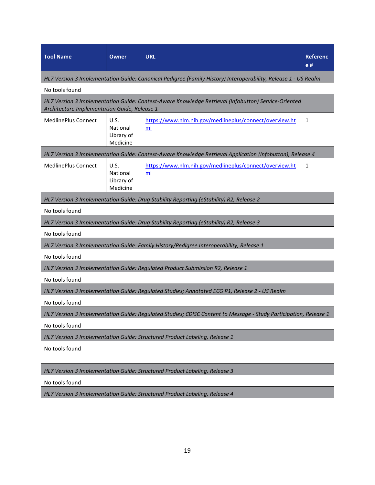| <b>Tool Name</b>                             | <b>Owner</b>                                      | <b>URL</b>                                                                                                       | Referenc<br>e # |  |  |  |
|----------------------------------------------|---------------------------------------------------|------------------------------------------------------------------------------------------------------------------|-----------------|--|--|--|
|                                              |                                                   | HL7 Version 3 Implementation Guide: Canonical Pedigree (Family History) Interoperability, Release 1 - US Realm   |                 |  |  |  |
| No tools found                               |                                                   |                                                                                                                  |                 |  |  |  |
| Architecture Implementation Guide, Release 1 |                                                   | HL7 Version 3 Implementation Guide: Context-Aware Knowledge Retrieval (Infobutton) Service-Oriented              |                 |  |  |  |
| MedlinePlus Connect                          | <b>U.S.</b><br>National<br>Library of<br>Medicine | https://www.nlm.nih.gov/medlineplus/connect/overview.ht<br>ml                                                    | 1               |  |  |  |
|                                              |                                                   | HL7 Version 3 Implementation Guide: Context-Aware Knowledge Retrieval Application (Infobutton), Release 4        |                 |  |  |  |
| MedlinePlus Connect                          | U.S.<br>National<br>Library of<br>Medicine        | https://www.nlm.nih.gov/medlineplus/connect/overview.ht<br>ml                                                    | 1               |  |  |  |
|                                              |                                                   | HL7 Version 3 Implementation Guide: Drug Stability Reporting (eStability) R2, Release 2                          |                 |  |  |  |
| No tools found                               |                                                   |                                                                                                                  |                 |  |  |  |
|                                              |                                                   | HL7 Version 3 Implementation Guide: Drug Stability Reporting (eStability) R2, Release 3                          |                 |  |  |  |
| No tools found                               |                                                   |                                                                                                                  |                 |  |  |  |
|                                              |                                                   | HL7 Version 3 Implementation Guide: Family History/Pedigree Interoperability, Release 1                          |                 |  |  |  |
| No tools found                               |                                                   |                                                                                                                  |                 |  |  |  |
|                                              |                                                   | HL7 Version 3 Implementation Guide: Regulated Product Submission R2, Release 1                                   |                 |  |  |  |
| No tools found                               |                                                   |                                                                                                                  |                 |  |  |  |
|                                              |                                                   | HL7 Version 3 Implementation Guide: Regulated Studies; Annotated ECG R1, Release 2 - US Realm                    |                 |  |  |  |
| No tools found                               |                                                   |                                                                                                                  |                 |  |  |  |
|                                              |                                                   | HL7 Version 3 Implementation Guide: Regulated Studies; CDISC Content to Message - Study Participation, Release 1 |                 |  |  |  |
| No tools found                               |                                                   |                                                                                                                  |                 |  |  |  |
|                                              |                                                   | HL7 Version 3 Implementation Guide: Structured Product Labeling, Release 1                                       |                 |  |  |  |
| No tools found                               |                                                   |                                                                                                                  |                 |  |  |  |
|                                              |                                                   | HL7 Version 3 Implementation Guide: Structured Product Labeling, Release 3                                       |                 |  |  |  |
| No tools found                               |                                                   |                                                                                                                  |                 |  |  |  |
|                                              |                                                   | HL7 Version 3 Implementation Guide: Structured Product Labeling, Release 4                                       |                 |  |  |  |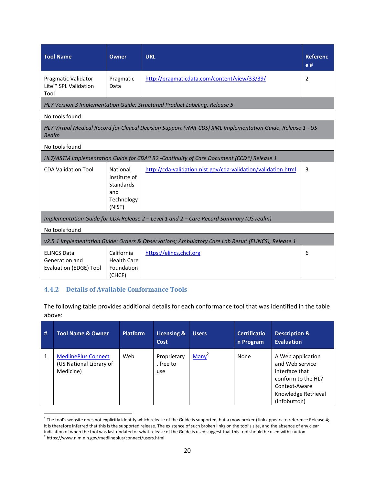| <b>Tool Name</b>                                                                                                     | <b>Owner</b>                                                               | <b>URL</b>                                                                              | <b>Referenc</b><br>e# |  |  |  |  |  |  |
|----------------------------------------------------------------------------------------------------------------------|----------------------------------------------------------------------------|-----------------------------------------------------------------------------------------|-----------------------|--|--|--|--|--|--|
| <b>Pragmatic Validator</b><br>Lite™ SPL Validation<br>$\text{Tool}^1$                                                | Pragmatic<br>Data                                                          | http://pragmaticdata.com/content/view/33/39/                                            | 2                     |  |  |  |  |  |  |
|                                                                                                                      | HL7 Version 3 Implementation Guide: Structured Product Labeling, Release 5 |                                                                                         |                       |  |  |  |  |  |  |
| No tools found                                                                                                       |                                                                            |                                                                                         |                       |  |  |  |  |  |  |
| HL7 Virtual Medical Record for Clinical Decision Support (vMR-CDS) XML Implementation Guide, Release 1 - US<br>Realm |                                                                            |                                                                                         |                       |  |  |  |  |  |  |
| No tools found                                                                                                       |                                                                            |                                                                                         |                       |  |  |  |  |  |  |
|                                                                                                                      |                                                                            | HL7/ASTM Implementation Guide for CDA® R2 -Continuity of Care Document (CCD®) Release 1 |                       |  |  |  |  |  |  |
| <b>CDA Validation Tool</b>                                                                                           | National<br>Institute of<br>Standards<br>and<br>Technology<br>(NIST)       | http://cda-validation.nist.gov/cda-validation/validation.html                           | 3                     |  |  |  |  |  |  |
|                                                                                                                      |                                                                            | Implementation Guide for CDA Release 2 - Level 1 and 2 - Care Record Summary (US realm) |                       |  |  |  |  |  |  |
| No tools found                                                                                                       |                                                                            |                                                                                         |                       |  |  |  |  |  |  |
| v2.5.1 Implementation Guide: Orders & Observations; Ambulatory Care Lab Result (ELINCS), Release 1                   |                                                                            |                                                                                         |                       |  |  |  |  |  |  |
| <b>ELINCS Data</b><br>Generation and<br><b>Evaluation (EDGE) Tool</b>                                                | California<br><b>Health Care</b><br>Foundation<br>(CHCF)                   | https://elincs.chcf.org                                                                 | 6                     |  |  |  |  |  |  |

#### **4.4.2 Details of Available Conformance Tools**

<u>.</u>

The following table provides additional details for each conformance tool that was identified in the table above:

| # | <b>Tool Name &amp; Owner</b>                                       | <b>Platform</b> | Licensing &<br>Cost             | <b>Users</b> | <b>Certificatio</b><br>n Program | <b>Description &amp;</b><br><b>Evaluation</b>                                                                                        |
|---|--------------------------------------------------------------------|-----------------|---------------------------------|--------------|----------------------------------|--------------------------------------------------------------------------------------------------------------------------------------|
| 1 | <b>MedlinePlus Connect</b><br>(US National Library of<br>Medicine) | Web             | Proprietary<br>, free to<br>use | $Many^2$     | None                             | A Web application<br>and Web service<br>interface that<br>conform to the HL7<br>Context-Aware<br>Knowledge Retrieval<br>(Infobutton) |

 $1$  The tool's website does not explicitly identify which release of the Guide is supported, but a (now broken) link appears to reference Release 4; it is therefore inferred that this is the supported release. The existence of such broken links on the tool's site, and the absence of any clear indication of when the tool was last updated or what release of the Guide is used suggest that this tool should be used with caution <sup>2</sup> https://www.nlm.nih.gov/medlineplus/connect/users.html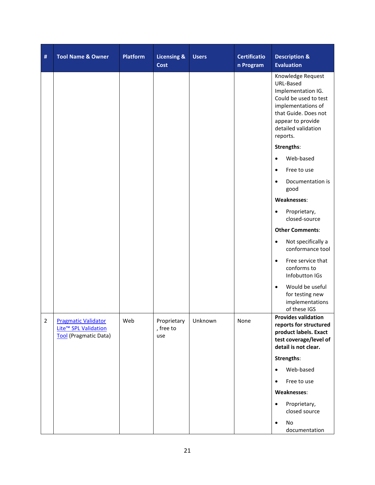| # | <b>Tool Name &amp; Owner</b>                                                | <b>Platform</b> | <b>Licensing &amp;</b><br>Cost  | <b>Users</b> | <b>Certificatio</b><br>n Program | <b>Description &amp;</b><br><b>Evaluation</b>                                                                                                                                       |
|---|-----------------------------------------------------------------------------|-----------------|---------------------------------|--------------|----------------------------------|-------------------------------------------------------------------------------------------------------------------------------------------------------------------------------------|
|   |                                                                             |                 |                                 |              |                                  | Knowledge Request<br>URL-Based<br>Implementation IG.<br>Could be used to test<br>implementations of<br>that Guide. Does not<br>appear to provide<br>detailed validation<br>reports. |
|   |                                                                             |                 |                                 |              |                                  | Strengths:                                                                                                                                                                          |
|   |                                                                             |                 |                                 |              |                                  | Web-based<br>$\bullet$                                                                                                                                                              |
|   |                                                                             |                 |                                 |              |                                  | Free to use<br>$\bullet$                                                                                                                                                            |
|   |                                                                             |                 |                                 |              |                                  | Documentation is<br>good                                                                                                                                                            |
|   |                                                                             |                 |                                 |              |                                  | Weaknesses:                                                                                                                                                                         |
|   |                                                                             |                 |                                 |              |                                  | Proprietary,<br>$\bullet$<br>closed-source                                                                                                                                          |
|   |                                                                             |                 |                                 |              |                                  | <b>Other Comments:</b>                                                                                                                                                              |
|   |                                                                             |                 |                                 |              |                                  | Not specifically a<br>$\bullet$<br>conformance tool                                                                                                                                 |
|   |                                                                             |                 |                                 |              |                                  | Free service that<br>$\bullet$<br>conforms to<br>Infobutton IGs                                                                                                                     |
|   |                                                                             |                 |                                 |              |                                  | Would be useful<br>$\bullet$<br>for testing new<br>implementations<br>of these IGS                                                                                                  |
| 2 | <b>Pragmatic Validator</b><br>Lite™ SPL Validation<br>Tool (Pragmatic Data) | Web             | Proprietary<br>, free to<br>use | Unknown      | None                             | <b>Provides validation</b><br>reports for structured<br>product labels. Exact<br>test coverage/level of<br>detail is not clear.                                                     |
|   |                                                                             |                 |                                 |              |                                  | Strengths:                                                                                                                                                                          |
|   |                                                                             |                 |                                 |              |                                  | Web-based<br>$\bullet$                                                                                                                                                              |
|   |                                                                             |                 |                                 |              |                                  | Free to use<br>$\bullet$                                                                                                                                                            |
|   |                                                                             |                 |                                 |              |                                  | Weaknesses:                                                                                                                                                                         |
|   |                                                                             |                 |                                 |              |                                  | Proprietary,<br>$\bullet$<br>closed source                                                                                                                                          |
|   |                                                                             |                 |                                 |              |                                  | No<br>$\bullet$<br>documentation                                                                                                                                                    |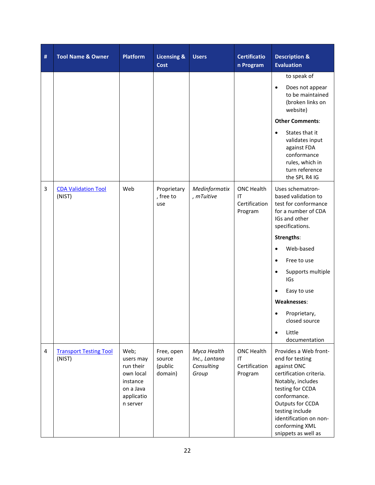| # | <b>Tool Name &amp; Owner</b>            | <b>Platform</b>                                                                                | <b>Licensing &amp;</b><br><b>Cost</b>      | <b>Users</b>                                        | <b>Certificatio</b><br>n Program                    | <b>Description &amp;</b><br><b>Evaluation</b>                                                                                                                                                                                                         |
|---|-----------------------------------------|------------------------------------------------------------------------------------------------|--------------------------------------------|-----------------------------------------------------|-----------------------------------------------------|-------------------------------------------------------------------------------------------------------------------------------------------------------------------------------------------------------------------------------------------------------|
|   |                                         |                                                                                                |                                            |                                                     |                                                     | to speak of<br>Does not appear<br>$\bullet$<br>to be maintained<br>(broken links on<br>website)<br><b>Other Comments:</b><br>States that it<br>$\bullet$                                                                                              |
|   |                                         |                                                                                                |                                            |                                                     |                                                     | validates input<br>against FDA<br>conformance<br>rules, which in<br>turn reference<br>the SPL R4 IG                                                                                                                                                   |
| 3 | <b>CDA Validation Tool</b><br>(NIST)    | Web                                                                                            | Proprietary<br>, free to<br>use            | Medinformatix<br>, mTuitive                         | <b>ONC Health</b><br>IT<br>Certification<br>Program | Uses schematron-<br>based validation to<br>test for conformance<br>for a number of CDA<br>IGs and other<br>specifications.                                                                                                                            |
|   |                                         |                                                                                                |                                            |                                                     |                                                     | Strengths:                                                                                                                                                                                                                                            |
|   |                                         |                                                                                                |                                            |                                                     |                                                     | Web-based<br>$\bullet$                                                                                                                                                                                                                                |
|   |                                         |                                                                                                |                                            |                                                     |                                                     | Free to use<br>$\bullet$                                                                                                                                                                                                                              |
|   |                                         |                                                                                                |                                            |                                                     |                                                     | Supports multiple<br>$\bullet$<br>IGs                                                                                                                                                                                                                 |
|   |                                         |                                                                                                |                                            |                                                     |                                                     | Easy to use                                                                                                                                                                                                                                           |
|   |                                         |                                                                                                |                                            |                                                     |                                                     | Weaknesses:                                                                                                                                                                                                                                           |
|   |                                         |                                                                                                |                                            |                                                     |                                                     | Proprietary,<br>closed source                                                                                                                                                                                                                         |
|   |                                         |                                                                                                |                                            |                                                     |                                                     | Little<br>$\bullet$<br>documentation                                                                                                                                                                                                                  |
| 4 | <b>Transport Testing Tool</b><br>(NIST) | Web;<br>users may<br>run their<br>own local<br>instance<br>on a Java<br>applicatio<br>n server | Free, open<br>source<br>(public<br>domain) | Myca Health<br>Inc., Lantana<br>Consulting<br>Group | <b>ONC Health</b><br>IT<br>Certification<br>Program | Provides a Web front-<br>end for testing<br>against ONC<br>certification criteria.<br>Notably, includes<br>testing for CCDA<br>conformance.<br>Outputs for CCDA<br>testing include<br>identification on non-<br>conforming XML<br>snippets as well as |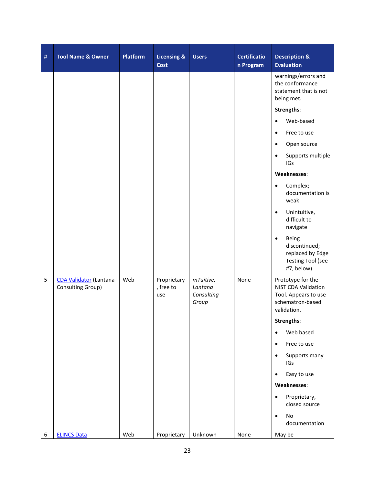| # | <b>Tool Name &amp; Owner</b>                       | <b>Platform</b> | <b>Licensing &amp;</b><br>Cost  | <b>Users</b>                                | <b>Certificatio</b><br>n Program | <b>Description &amp;</b><br><b>Evaluation</b>                                                       |
|---|----------------------------------------------------|-----------------|---------------------------------|---------------------------------------------|----------------------------------|-----------------------------------------------------------------------------------------------------|
|   |                                                    |                 |                                 |                                             |                                  | warnings/errors and<br>the conformance<br>statement that is not<br>being met.                       |
|   |                                                    |                 |                                 |                                             |                                  | Strengths:                                                                                          |
|   |                                                    |                 |                                 |                                             |                                  | Web-based<br>$\bullet$                                                                              |
|   |                                                    |                 |                                 |                                             |                                  | Free to use<br>$\bullet$                                                                            |
|   |                                                    |                 |                                 |                                             |                                  | Open source                                                                                         |
|   |                                                    |                 |                                 |                                             |                                  | Supports multiple<br>$\bullet$<br>IGs                                                               |
|   |                                                    |                 |                                 |                                             |                                  | Weaknesses:                                                                                         |
|   |                                                    |                 |                                 |                                             |                                  | Complex;<br>$\bullet$<br>documentation is<br>weak                                                   |
|   |                                                    |                 |                                 |                                             |                                  | Unintuitive,<br>difficult to<br>navigate                                                            |
|   |                                                    |                 |                                 |                                             |                                  | Being<br>$\bullet$<br>discontinued;<br>replaced by Edge<br><b>Testing Tool (see</b><br>#7, below)   |
| 5 | <b>CDA Validator (Lantana</b><br>Consulting Group) | Web             | Proprietary<br>, free to<br>use | mTuitive,<br>Lantana<br>Consulting<br>Group | None                             | Prototype for the<br>NIST CDA Validation<br>Tool. Appears to use<br>schematron-based<br>validation. |
|   |                                                    |                 |                                 |                                             |                                  | Strengths:                                                                                          |
|   |                                                    |                 |                                 |                                             |                                  | Web based<br>$\bullet$                                                                              |
|   |                                                    |                 |                                 |                                             |                                  | Free to use<br>$\bullet$                                                                            |
|   |                                                    |                 |                                 |                                             |                                  | Supports many<br>IGs                                                                                |
|   |                                                    |                 |                                 |                                             |                                  | Easy to use<br>$\bullet$                                                                            |
|   |                                                    |                 |                                 |                                             |                                  | Weaknesses:                                                                                         |
|   |                                                    |                 |                                 |                                             |                                  | Proprietary,<br>$\bullet$<br>closed source                                                          |
|   |                                                    |                 |                                 |                                             |                                  | No<br>$\bullet$<br>documentation                                                                    |
| 6 | <b>ELINCS Data</b>                                 | Web             | Proprietary                     | Unknown                                     | None                             | May be                                                                                              |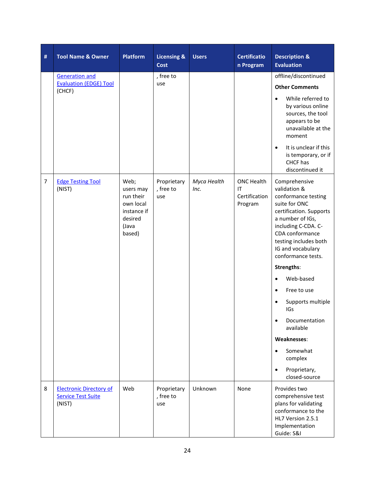| #              | <b>Tool Name &amp; Owner</b>                                          | <b>Platform</b>                                                                          | <b>Licensing &amp;</b><br><b>Cost</b> | <b>Users</b>        | <b>Certificatio</b><br>n Program                    | <b>Description &amp;</b><br><b>Evaluation</b>                                                                                                                                                                                      |
|----------------|-----------------------------------------------------------------------|------------------------------------------------------------------------------------------|---------------------------------------|---------------------|-----------------------------------------------------|------------------------------------------------------------------------------------------------------------------------------------------------------------------------------------------------------------------------------------|
|                | <b>Generation and</b>                                                 |                                                                                          | , free to                             |                     |                                                     | offline/discontinued                                                                                                                                                                                                               |
|                | <b>Evaluation (EDGE) Tool</b><br>(CHCF)                               |                                                                                          | use                                   |                     |                                                     | <b>Other Comments</b>                                                                                                                                                                                                              |
|                |                                                                       |                                                                                          |                                       |                     |                                                     | While referred to<br>$\bullet$<br>by various online<br>sources, the tool<br>appears to be<br>unavailable at the<br>moment                                                                                                          |
|                |                                                                       |                                                                                          |                                       |                     |                                                     | It is unclear if this<br>$\bullet$<br>is temporary, or if<br>CHCF has<br>discontinued it                                                                                                                                           |
| $\overline{7}$ | <b>Edge Testing Tool</b><br>(NIST)                                    | Web;<br>users may<br>run their<br>own local<br>instance if<br>desired<br>(Java<br>based) | Proprietary<br>, free to<br>use       | Myca Health<br>Inc. | <b>ONC Health</b><br>ΙT<br>Certification<br>Program | Comprehensive<br>validation &<br>conformance testing<br>suite for ONC<br>certification. Supports<br>a number of IGs,<br>including C-CDA. C-<br>CDA conformance<br>testing includes both<br>IG and vocabulary<br>conformance tests. |
|                |                                                                       |                                                                                          |                                       |                     |                                                     | Strengths:                                                                                                                                                                                                                         |
|                |                                                                       |                                                                                          |                                       |                     |                                                     | Web-based<br>$\bullet$                                                                                                                                                                                                             |
|                |                                                                       |                                                                                          |                                       |                     |                                                     | Free to use<br>$\bullet$                                                                                                                                                                                                           |
|                |                                                                       |                                                                                          |                                       |                     |                                                     | Supports multiple<br>$\bullet$<br>IGs                                                                                                                                                                                              |
|                |                                                                       |                                                                                          |                                       |                     |                                                     | Documentation<br>available                                                                                                                                                                                                         |
|                |                                                                       |                                                                                          |                                       |                     |                                                     | Weaknesses:                                                                                                                                                                                                                        |
|                |                                                                       |                                                                                          |                                       |                     |                                                     | Somewhat<br>$\bullet$<br>complex                                                                                                                                                                                                   |
|                |                                                                       |                                                                                          |                                       |                     |                                                     | Proprietary,<br>$\bullet$<br>closed-source                                                                                                                                                                                         |
| 8              | <b>Electronic Directory of</b><br><b>Service Test Suite</b><br>(NIST) | Web                                                                                      | Proprietary<br>, free to<br>use       | Unknown             | None                                                | Provides two<br>comprehensive test<br>plans for validating<br>conformance to the<br>HL7 Version 2.5.1<br>Implementation<br>Guide: S&I                                                                                              |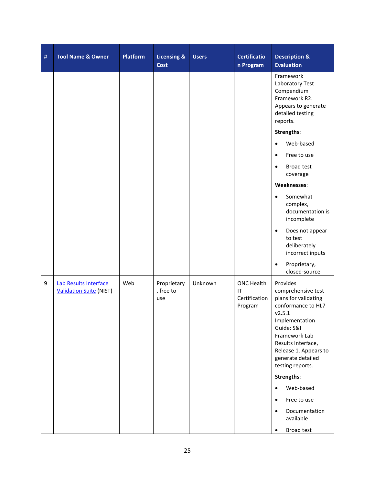| # | <b>Tool Name &amp; Owner</b>                            | <b>Platform</b> | <b>Licensing &amp;</b><br><b>Cost</b> | <b>Users</b> | <b>Certificatio</b><br>n Program                                 | <b>Description &amp;</b><br><b>Evaluation</b>                                                                                                                                                                                   |
|---|---------------------------------------------------------|-----------------|---------------------------------------|--------------|------------------------------------------------------------------|---------------------------------------------------------------------------------------------------------------------------------------------------------------------------------------------------------------------------------|
|   |                                                         |                 |                                       |              |                                                                  | Framework<br>Laboratory Test<br>Compendium<br>Framework R2.<br>Appears to generate<br>detailed testing<br>reports.                                                                                                              |
|   |                                                         |                 |                                       |              |                                                                  | Strengths:                                                                                                                                                                                                                      |
|   |                                                         |                 |                                       |              |                                                                  | Web-based<br>$\bullet$                                                                                                                                                                                                          |
|   |                                                         |                 |                                       |              |                                                                  | Free to use<br>$\bullet$                                                                                                                                                                                                        |
|   |                                                         |                 |                                       |              |                                                                  | <b>Broad test</b><br>$\bullet$<br>coverage                                                                                                                                                                                      |
|   |                                                         |                 |                                       |              |                                                                  | Weaknesses:                                                                                                                                                                                                                     |
|   |                                                         |                 |                                       |              |                                                                  | Somewhat<br>$\bullet$<br>complex,<br>documentation is<br>incomplete                                                                                                                                                             |
|   |                                                         |                 |                                       |              |                                                                  | Does not appear<br>$\bullet$<br>to test<br>deliberately<br>incorrect inputs                                                                                                                                                     |
|   |                                                         |                 |                                       |              |                                                                  | Proprietary,<br>$\bullet$<br>closed-source                                                                                                                                                                                      |
| 9 | Lab Results Interface<br><b>Validation Suite (NIST)</b> | Web             | Proprietary<br>, free to<br>use       | Unknown      | ONC Health<br>$\mathsf{I}\mathsf{T}$<br>Certification<br>Program | Provides<br>comprehensive test<br>plans for validating<br>conformance to HL7<br>v2.5.1<br>Implementation<br>Guide: S&I<br>Framework Lab<br>Results Interface,<br>Release 1. Appears to<br>generate detailed<br>testing reports. |
|   |                                                         |                 |                                       |              |                                                                  | Strengths:                                                                                                                                                                                                                      |
|   |                                                         |                 |                                       |              |                                                                  | Web-based<br>$\bullet$                                                                                                                                                                                                          |
|   |                                                         |                 |                                       |              |                                                                  | Free to use<br>$\bullet$                                                                                                                                                                                                        |
|   |                                                         |                 |                                       |              |                                                                  | Documentation<br>$\bullet$<br>available                                                                                                                                                                                         |
|   |                                                         |                 |                                       |              |                                                                  | <b>Broad test</b>                                                                                                                                                                                                               |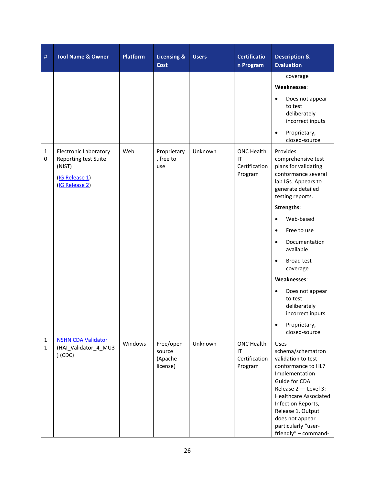| #                           | <b>Tool Name &amp; Owner</b>                                                                       | <b>Platform</b> | <b>Licensing &amp;</b><br><b>Cost</b>      | <b>Users</b> | <b>Certificatio</b><br>n Program                    | <b>Description &amp;</b><br><b>Evaluation</b>                                                                                                                                                                                                                                 |
|-----------------------------|----------------------------------------------------------------------------------------------------|-----------------|--------------------------------------------|--------------|-----------------------------------------------------|-------------------------------------------------------------------------------------------------------------------------------------------------------------------------------------------------------------------------------------------------------------------------------|
|                             |                                                                                                    |                 |                                            |              |                                                     | coverage                                                                                                                                                                                                                                                                      |
|                             |                                                                                                    |                 |                                            |              |                                                     | Weaknesses:                                                                                                                                                                                                                                                                   |
|                             |                                                                                                    |                 |                                            |              |                                                     | Does not appear<br>$\bullet$<br>to test<br>deliberately<br>incorrect inputs                                                                                                                                                                                                   |
|                             |                                                                                                    |                 |                                            |              |                                                     | Proprietary,<br>$\bullet$<br>closed-source                                                                                                                                                                                                                                    |
| $\mathbf{1}$<br>$\mathbf 0$ | <b>Electronic Laboratory</b><br>Reporting test Suite<br>(NIST)<br>(IG Release 1)<br>(IG Release 2) | Web             | Proprietary<br>, free to<br>use            | Unknown      | <b>ONC Health</b><br>IT<br>Certification<br>Program | Provides<br>comprehensive test<br>plans for validating<br>conformance several<br>lab IGs. Appears to<br>generate detailed<br>testing reports.                                                                                                                                 |
|                             |                                                                                                    |                 |                                            |              |                                                     | Strengths:                                                                                                                                                                                                                                                                    |
|                             |                                                                                                    |                 |                                            |              |                                                     | Web-based<br>$\bullet$                                                                                                                                                                                                                                                        |
|                             |                                                                                                    |                 |                                            |              |                                                     | Free to use<br>$\bullet$                                                                                                                                                                                                                                                      |
|                             |                                                                                                    |                 |                                            |              |                                                     | Documentation<br>$\bullet$<br>available                                                                                                                                                                                                                                       |
|                             |                                                                                                    |                 |                                            |              |                                                     | Broad test<br>$\bullet$<br>coverage                                                                                                                                                                                                                                           |
|                             |                                                                                                    |                 |                                            |              |                                                     | Weaknesses:                                                                                                                                                                                                                                                                   |
|                             |                                                                                                    |                 |                                            |              |                                                     | Does not appear<br>$\bullet$<br>to test<br>deliberately<br>incorrect inputs                                                                                                                                                                                                   |
|                             |                                                                                                    |                 |                                            |              |                                                     | Proprietary,<br>$\bullet$<br>closed-source                                                                                                                                                                                                                                    |
| 1<br>$\mathbf{1}$           | <b>NSHN CDA Validator</b><br>(HAI_Validator_4_MU3<br>$)$ (CDC)                                     | Windows         | Free/open<br>source<br>(Apache<br>license) | Unknown      | <b>ONC Health</b><br>IT<br>Certification<br>Program | Uses<br>schema/schematron<br>validation to test<br>conformance to HL7<br>Implementation<br>Guide for CDA<br>Release 2 - Level 3:<br><b>Healthcare Associated</b><br>Infection Reports,<br>Release 1. Output<br>does not appear<br>particularly "user-<br>friendly" - command- |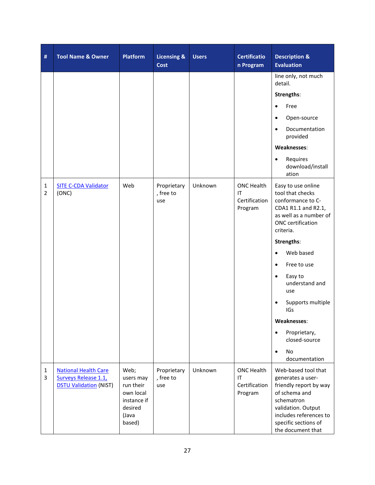| #                              | <b>Tool Name &amp; Owner</b>                                                         | <b>Platform</b>                                                                          | <b>Licensing &amp;</b><br>Cost  | <b>Users</b> | Certificatio<br>n Program                           | <b>Description &amp;</b><br><b>Evaluation</b>                                                                                                                                                  |
|--------------------------------|--------------------------------------------------------------------------------------|------------------------------------------------------------------------------------------|---------------------------------|--------------|-----------------------------------------------------|------------------------------------------------------------------------------------------------------------------------------------------------------------------------------------------------|
|                                |                                                                                      |                                                                                          |                                 |              |                                                     | line only, not much<br>detail.                                                                                                                                                                 |
|                                |                                                                                      |                                                                                          |                                 |              |                                                     | Strengths:                                                                                                                                                                                     |
|                                |                                                                                      |                                                                                          |                                 |              |                                                     | Free<br>$\bullet$                                                                                                                                                                              |
|                                |                                                                                      |                                                                                          |                                 |              |                                                     | Open-source<br>$\bullet$                                                                                                                                                                       |
|                                |                                                                                      |                                                                                          |                                 |              |                                                     | Documentation<br>$\bullet$<br>provided                                                                                                                                                         |
|                                |                                                                                      |                                                                                          |                                 |              |                                                     | Weaknesses:                                                                                                                                                                                    |
|                                |                                                                                      |                                                                                          |                                 |              |                                                     | Requires<br>$\bullet$<br>download/install<br>ation                                                                                                                                             |
| $\mathbf{1}$<br>$\overline{2}$ | <b>SITE C-CDA Validator</b><br>(ONC)                                                 | Web                                                                                      | Proprietary<br>, free to<br>use | Unknown      | <b>ONC Health</b><br>IT<br>Certification<br>Program | Easy to use online<br>tool that checks<br>conformance to C-<br>CDA1 R1.1 and R2.1,<br>as well as a number of<br>ONC certification<br>criteria.                                                 |
|                                |                                                                                      |                                                                                          |                                 |              |                                                     | Strengths:                                                                                                                                                                                     |
|                                |                                                                                      |                                                                                          |                                 |              |                                                     | Web based<br>$\bullet$                                                                                                                                                                         |
|                                |                                                                                      |                                                                                          |                                 |              |                                                     | Free to use<br>$\bullet$                                                                                                                                                                       |
|                                |                                                                                      |                                                                                          |                                 |              |                                                     | Easy to<br>$\bullet$<br>understand and<br>use                                                                                                                                                  |
|                                |                                                                                      |                                                                                          |                                 |              |                                                     | Supports multiple<br>IGs                                                                                                                                                                       |
|                                |                                                                                      |                                                                                          |                                 |              |                                                     | Weaknesses:                                                                                                                                                                                    |
|                                |                                                                                      |                                                                                          |                                 |              |                                                     | Proprietary,<br>$\bullet$<br>closed-source                                                                                                                                                     |
|                                |                                                                                      |                                                                                          |                                 |              |                                                     | No<br>$\bullet$<br>documentation                                                                                                                                                               |
| $\mathbf{1}$<br>3              | <b>National Health Care</b><br>Surveys Release 1.1,<br><b>DSTU Validation (NIST)</b> | Web;<br>users may<br>run their<br>own local<br>instance if<br>desired<br>(Java<br>based) | Proprietary<br>, free to<br>use | Unknown      | ONC Health<br>IT<br>Certification<br>Program        | Web-based tool that<br>generates a user-<br>friendly report by way<br>of schema and<br>schematron<br>validation. Output<br>includes references to<br>specific sections of<br>the document that |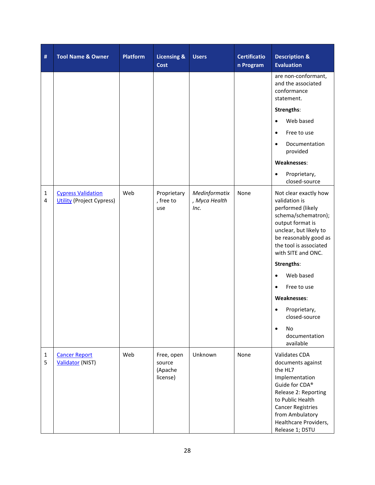| #                 | <b>Tool Name &amp; Owner</b>                                  | <b>Platform</b> | <b>Licensing &amp;</b><br><b>Cost</b>       | <b>Users</b>                           | <b>Certificatio</b><br>n Program | <b>Description &amp;</b><br><b>Evaluation</b>                                                                                                                                                                                                                                                |
|-------------------|---------------------------------------------------------------|-----------------|---------------------------------------------|----------------------------------------|----------------------------------|----------------------------------------------------------------------------------------------------------------------------------------------------------------------------------------------------------------------------------------------------------------------------------------------|
|                   |                                                               |                 |                                             |                                        |                                  | are non-conformant,<br>and the associated<br>conformance<br>statement.                                                                                                                                                                                                                       |
|                   |                                                               |                 |                                             |                                        |                                  | Strengths:                                                                                                                                                                                                                                                                                   |
|                   |                                                               |                 |                                             |                                        |                                  | Web based<br>$\bullet$                                                                                                                                                                                                                                                                       |
|                   |                                                               |                 |                                             |                                        |                                  | Free to use<br>$\bullet$                                                                                                                                                                                                                                                                     |
|                   |                                                               |                 |                                             |                                        |                                  | Documentation<br>$\bullet$<br>provided                                                                                                                                                                                                                                                       |
|                   |                                                               |                 |                                             |                                        |                                  | Weaknesses:                                                                                                                                                                                                                                                                                  |
|                   |                                                               |                 |                                             |                                        |                                  | Proprietary,<br>$\bullet$<br>closed-source                                                                                                                                                                                                                                                   |
| $\mathbf{1}$<br>4 | <b>Cypress Validation</b><br><b>Utility</b> (Project Cypress) | Web             | Proprietary<br>, free to<br>use             | Medinformatix<br>, Myca Health<br>Inc. | None                             | Not clear exactly how<br>validation is<br>performed (likely<br>schema/schematron);<br>output format is<br>unclear, but likely to<br>be reasonably good as<br>the tool is associated<br>with SITE and ONC.<br>Strengths:<br>Web based<br>$\bullet$<br>Free to use<br>$\bullet$<br>Weaknesses: |
|                   |                                                               |                 |                                             |                                        |                                  | Proprietary,<br>closed-source                                                                                                                                                                                                                                                                |
|                   |                                                               |                 |                                             |                                        |                                  | No<br>$\bullet$<br>documentation<br>available                                                                                                                                                                                                                                                |
| 1<br>5            | <b>Cancer Report</b><br>Validator (NIST)                      | Web             | Free, open<br>source<br>(Apache<br>license) | Unknown                                | None                             | Validates CDA<br>documents against<br>the HL7<br>Implementation<br>Guide for CDA®<br>Release 2: Reporting<br>to Public Health<br><b>Cancer Registries</b><br>from Ambulatory<br>Healthcare Providers,<br>Release 1; DSTU                                                                     |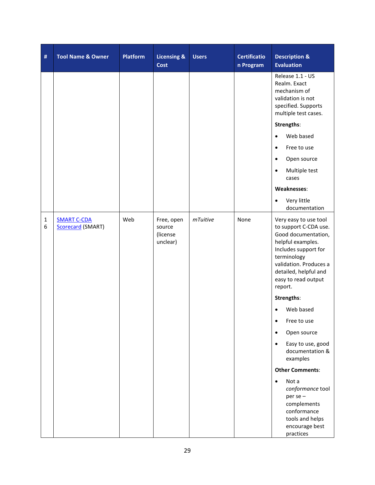| $\#$              | <b>Tool Name &amp; Owner</b>                   | <b>Platform</b> | <b>Licensing &amp;</b><br><b>Cost</b>        | <b>Users</b> | <b>Certificatio</b><br>n Program | <b>Description &amp;</b><br><b>Evaluation</b>                                                                                                                                                                          |
|-------------------|------------------------------------------------|-----------------|----------------------------------------------|--------------|----------------------------------|------------------------------------------------------------------------------------------------------------------------------------------------------------------------------------------------------------------------|
|                   |                                                |                 |                                              |              |                                  | Release 1.1 - US<br>Realm. Exact<br>mechanism of<br>validation is not<br>specified. Supports<br>multiple test cases.                                                                                                   |
|                   |                                                |                 |                                              |              |                                  | Strengths:                                                                                                                                                                                                             |
|                   |                                                |                 |                                              |              |                                  | Web based<br>$\bullet$                                                                                                                                                                                                 |
|                   |                                                |                 |                                              |              |                                  | Free to use<br>$\bullet$                                                                                                                                                                                               |
|                   |                                                |                 |                                              |              |                                  | Open source<br>$\bullet$                                                                                                                                                                                               |
|                   |                                                |                 |                                              |              |                                  | Multiple test<br>$\bullet$<br>cases                                                                                                                                                                                    |
|                   |                                                |                 |                                              |              |                                  | Weaknesses:                                                                                                                                                                                                            |
|                   |                                                |                 |                                              |              |                                  | Very little<br>$\bullet$<br>documentation                                                                                                                                                                              |
| $\mathbf{1}$<br>6 | <b>SMART C-CDA</b><br><b>Scorecard (SMART)</b> | Web             | Free, open<br>source<br>(license<br>unclear) | mTuitive     | None                             | Very easy to use tool<br>to support C-CDA use.<br>Good documentation,<br>helpful examples.<br>Includes support for<br>terminology<br>validation. Produces a<br>detailed, helpful and<br>easy to read output<br>report. |
|                   |                                                |                 |                                              |              |                                  | Strengths:                                                                                                                                                                                                             |
|                   |                                                |                 |                                              |              |                                  | Web based                                                                                                                                                                                                              |
|                   |                                                |                 |                                              |              |                                  | Free to use                                                                                                                                                                                                            |
|                   |                                                |                 |                                              |              |                                  | Open source<br>$\bullet$                                                                                                                                                                                               |
|                   |                                                |                 |                                              |              |                                  | Easy to use, good<br>$\bullet$<br>documentation &<br>examples                                                                                                                                                          |
|                   |                                                |                 |                                              |              |                                  | <b>Other Comments:</b>                                                                                                                                                                                                 |
|                   |                                                |                 |                                              |              |                                  | Not a<br>$\bullet$<br>conformance tool<br>per se -<br>complements<br>conformance<br>tools and helps<br>encourage best<br>practices                                                                                     |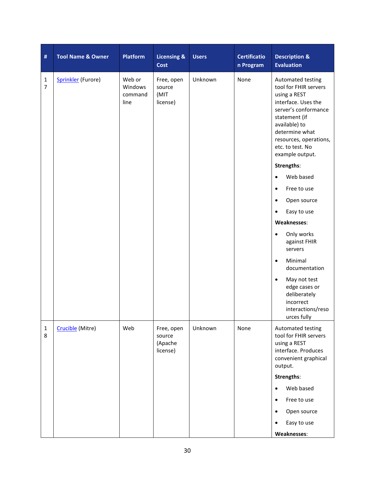| #                              | <b>Tool Name &amp; Owner</b> | <b>Platform</b>                      | <b>Licensing &amp;</b><br><b>Cost</b>       | <b>Users</b> | <b>Certificatio</b><br>n Program | <b>Description &amp;</b><br><b>Evaluation</b>                                                                                                                                                                                                |
|--------------------------------|------------------------------|--------------------------------------|---------------------------------------------|--------------|----------------------------------|----------------------------------------------------------------------------------------------------------------------------------------------------------------------------------------------------------------------------------------------|
| $\mathbf{1}$<br>$\overline{7}$ | <b>Sprinkler</b> (Furore)    | Web or<br>Windows<br>command<br>line | Free, open<br>source<br>(MIT<br>license)    | Unknown      | None                             | Automated testing<br>tool for FHIR servers<br>using a REST<br>interface. Uses the<br>server's conformance<br>statement (if<br>available) to<br>determine what<br>resources, operations,<br>etc. to test. No<br>example output.<br>Strengths: |
|                                |                              |                                      |                                             |              |                                  | Web based<br>$\bullet$                                                                                                                                                                                                                       |
|                                |                              |                                      |                                             |              |                                  | Free to use<br>$\bullet$                                                                                                                                                                                                                     |
|                                |                              |                                      |                                             |              |                                  | Open source<br>٠                                                                                                                                                                                                                             |
|                                |                              |                                      |                                             |              |                                  | Easy to use<br>$\bullet$                                                                                                                                                                                                                     |
|                                |                              |                                      |                                             |              |                                  | Weaknesses:                                                                                                                                                                                                                                  |
|                                |                              |                                      |                                             |              |                                  | Only works<br>$\bullet$<br>against FHIR<br>servers                                                                                                                                                                                           |
|                                |                              |                                      |                                             |              |                                  | Minimal<br>$\bullet$<br>documentation                                                                                                                                                                                                        |
|                                |                              |                                      |                                             |              |                                  | May not test<br>$\bullet$<br>edge cases or<br>deliberately<br>incorrect<br>interactions/reso<br>urces fully                                                                                                                                  |
| $\mathbf{1}$<br>8              | Crucible (Mitre)             | Web                                  | Free, open<br>source<br>(Apache<br>license) | Unknown      | None                             | Automated testing<br>tool for FHIR servers<br>using a REST<br>interface. Produces<br>convenient graphical<br>output.                                                                                                                         |
|                                |                              |                                      |                                             |              |                                  | Strengths:                                                                                                                                                                                                                                   |
|                                |                              |                                      |                                             |              |                                  | Web based<br>$\bullet$                                                                                                                                                                                                                       |
|                                |                              |                                      |                                             |              |                                  | Free to use<br>$\bullet$                                                                                                                                                                                                                     |
|                                |                              |                                      |                                             |              |                                  | Open source<br>$\bullet$                                                                                                                                                                                                                     |
|                                |                              |                                      |                                             |              |                                  | Easy to use                                                                                                                                                                                                                                  |
|                                |                              |                                      |                                             |              |                                  | Weaknesses:                                                                                                                                                                                                                                  |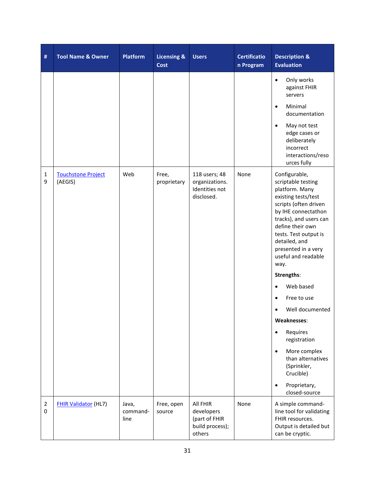| #                   | <b>Tool Name &amp; Owner</b>         | <b>Platform</b>           | <b>Licensing &amp;</b><br>Cost | <b>Users</b>                                                         | <b>Certificatio</b><br>n Program | <b>Description &amp;</b><br><b>Evaluation</b>                                                                                                                                                                                                                              |
|---------------------|--------------------------------------|---------------------------|--------------------------------|----------------------------------------------------------------------|----------------------------------|----------------------------------------------------------------------------------------------------------------------------------------------------------------------------------------------------------------------------------------------------------------------------|
|                     |                                      |                           |                                |                                                                      |                                  | Only works<br>$\bullet$<br>against FHIR<br>servers<br>Minimal<br>$\bullet$<br>documentation<br>May not test<br>$\bullet$<br>edge cases or<br>deliberately<br>incorrect<br>interactions/reso<br>urces fully                                                                 |
| $\mathbf{1}$<br>9   | <b>Touchstone Project</b><br>(AEGIS) | Web                       | Free,<br>proprietary           | 118 users; 48<br>organizations.<br>Identities not<br>disclosed.      | None                             | Configurable,<br>scriptable testing<br>platform. Many<br>existing tests/test<br>scripts (often driven<br>by IHE connectathon<br>tracks), and users can<br>define their own<br>tests. Test output is<br>detailed, and<br>presented in a very<br>useful and readable<br>way. |
|                     |                                      |                           |                                |                                                                      |                                  | Strengths:                                                                                                                                                                                                                                                                 |
|                     |                                      |                           |                                |                                                                      |                                  | Web based                                                                                                                                                                                                                                                                  |
|                     |                                      |                           |                                |                                                                      |                                  | Free to use<br>$\bullet$                                                                                                                                                                                                                                                   |
|                     |                                      |                           |                                |                                                                      |                                  | Well documented                                                                                                                                                                                                                                                            |
|                     |                                      |                           |                                |                                                                      |                                  | Weaknesses:                                                                                                                                                                                                                                                                |
|                     |                                      |                           |                                |                                                                      |                                  | Requires<br>$\bullet$<br>registration                                                                                                                                                                                                                                      |
|                     |                                      |                           |                                |                                                                      |                                  | More complex<br>$\bullet$<br>than alternatives<br>(Sprinkler,<br>Crucible)                                                                                                                                                                                                 |
|                     |                                      |                           |                                |                                                                      |                                  | Proprietary,<br>$\bullet$<br>closed-source                                                                                                                                                                                                                                 |
| $\overline{2}$<br>0 | <b>FHIR Validator (HL7)</b>          | Java,<br>command-<br>line | Free, open<br>source           | All FHIR<br>developers<br>(part of FHIR<br>build process);<br>others | None                             | A simple command-<br>line tool for validating<br>FHIR resources.<br>Output is detailed but<br>can be cryptic.                                                                                                                                                              |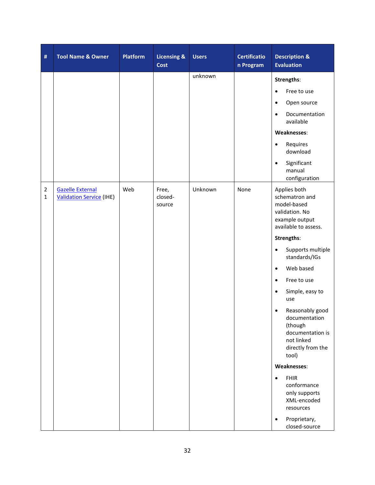| $\#$                          | <b>Tool Name &amp; Owner</b>                               | <b>Platform</b> | <b>Licensing &amp;</b><br>Cost | <b>Users</b> | <b>Certificatio</b><br>n Program | <b>Description &amp;</b><br><b>Evaluation</b>                                                               |
|-------------------------------|------------------------------------------------------------|-----------------|--------------------------------|--------------|----------------------------------|-------------------------------------------------------------------------------------------------------------|
|                               |                                                            |                 |                                | unknown      |                                  | Strengths:                                                                                                  |
|                               |                                                            |                 |                                |              |                                  | Free to use<br>$\bullet$                                                                                    |
|                               |                                                            |                 |                                |              |                                  | Open source<br>$\bullet$                                                                                    |
|                               |                                                            |                 |                                |              |                                  | Documentation<br>$\bullet$<br>available                                                                     |
|                               |                                                            |                 |                                |              |                                  | Weaknesses:                                                                                                 |
|                               |                                                            |                 |                                |              |                                  | Requires<br>$\bullet$<br>download                                                                           |
|                               |                                                            |                 |                                |              |                                  | Significant<br>$\bullet$<br>manual<br>configuration                                                         |
| $\overline{2}$<br>$\mathbf 1$ | <b>Gazelle External</b><br><b>Validation Service (IHE)</b> | Web             | Free,<br>closed-<br>source     | Unknown      | None                             | Applies both<br>schematron and<br>model-based<br>validation. No<br>example output<br>available to assess.   |
|                               |                                                            |                 |                                |              |                                  | Strengths:                                                                                                  |
|                               |                                                            |                 |                                |              |                                  | Supports multiple<br>$\bullet$<br>standards/IGs                                                             |
|                               |                                                            |                 |                                |              |                                  | Web based<br>$\bullet$                                                                                      |
|                               |                                                            |                 |                                |              |                                  | Free to use<br>$\bullet$                                                                                    |
|                               |                                                            |                 |                                |              |                                  | Simple, easy to<br>$\bullet$<br>use                                                                         |
|                               |                                                            |                 |                                |              |                                  | Reasonably good<br>documentation<br>(though<br>documentation is<br>not linked<br>directly from the<br>tool) |
|                               |                                                            |                 |                                |              |                                  | Weaknesses:                                                                                                 |
|                               |                                                            |                 |                                |              |                                  | <b>FHIR</b><br>$\bullet$<br>conformance<br>only supports<br>XML-encoded<br>resources                        |
|                               |                                                            |                 |                                |              |                                  | Proprietary,<br>closed-source                                                                               |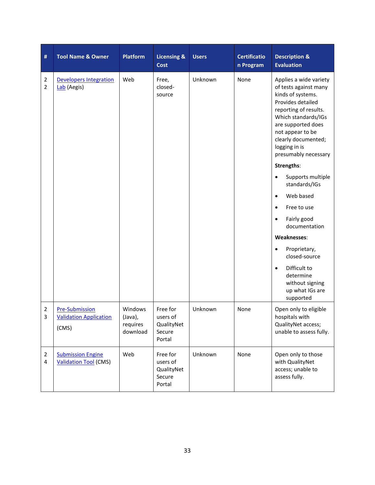| #                                         | <b>Tool Name &amp; Owner</b>                                    | <b>Platform</b>                            | <b>Licensing &amp;</b><br><b>Cost</b>                  | <b>Users</b> | <b>Certificatio</b><br>n Program | <b>Description &amp;</b><br><b>Evaluation</b>                                                                                                                                                                                                                     |
|-------------------------------------------|-----------------------------------------------------------------|--------------------------------------------|--------------------------------------------------------|--------------|----------------------------------|-------------------------------------------------------------------------------------------------------------------------------------------------------------------------------------------------------------------------------------------------------------------|
| 2<br>2                                    | <b>Developers Integration</b><br>Lab (Aegis)                    | Web                                        | Free,<br>closed-<br>source                             | Unknown      | None                             | Applies a wide variety<br>of tests against many<br>kinds of systems.<br>Provides detailed<br>reporting of results.<br>Which standards/IGs<br>are supported does<br>not appear to be<br>clearly documented;<br>logging in is<br>presumably necessary<br>Strengths: |
|                                           |                                                                 |                                            |                                                        |              |                                  | Supports multiple<br>$\bullet$<br>standards/IGs                                                                                                                                                                                                                   |
|                                           |                                                                 |                                            |                                                        |              |                                  | Web based<br>$\bullet$                                                                                                                                                                                                                                            |
|                                           |                                                                 |                                            |                                                        |              |                                  | Free to use<br>$\bullet$                                                                                                                                                                                                                                          |
|                                           |                                                                 |                                            |                                                        |              |                                  | Fairly good<br>$\bullet$<br>documentation                                                                                                                                                                                                                         |
|                                           |                                                                 |                                            |                                                        |              |                                  | Weaknesses:                                                                                                                                                                                                                                                       |
|                                           |                                                                 |                                            |                                                        |              |                                  | Proprietary,<br>$\bullet$<br>closed-source                                                                                                                                                                                                                        |
|                                           |                                                                 |                                            |                                                        |              |                                  | Difficult to<br>$\bullet$<br>determine<br>without signing<br>up what IGs are<br>supported                                                                                                                                                                         |
| $\overline{\mathbf{c}}$<br>3              | <b>Pre-Submission</b><br><b>Validation Application</b><br>(CMS) | Windows<br>(Java),<br>requires<br>download | Free for<br>users of<br>QualityNet<br>Secure<br>Portal | Unknown      | None                             | Open only to eligible<br>hospitals with<br>QualityNet access;<br>unable to assess fully.                                                                                                                                                                          |
| $\overline{2}$<br>$\overline{\mathbf{4}}$ | <b>Submission Engine</b><br><b>Validation Tool (CMS)</b>        | Web                                        | Free for<br>users of<br>QualityNet<br>Secure<br>Portal | Unknown      | None                             | Open only to those<br>with QualityNet<br>access; unable to<br>assess fully.                                                                                                                                                                                       |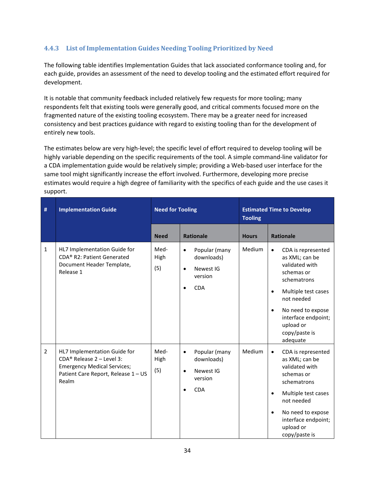#### **4.4.3 List of Implementation Guides Needing Tooling Prioritized by Need**

The following table identifies Implementation Guides that lack associated conformance tooling and, for each guide, provides an assessment of the need to develop tooling and the estimated effort required for development.

It is notable that community feedback included relatively few requests for more tooling; many respondents felt that existing tools were generally good, and critical comments focused more on the fragmented nature of the existing tooling ecosystem. There may be a greater need for increased consistency and best practices guidance with regard to existing tooling than for the development of entirely new tools.

The estimates below are very high-level; the specific level of effort required to develop tooling will be highly variable depending on the specific requirements of the tool. A simple command-line validator for a CDA implementation guide would be relatively simple; providing a Web-based user interface for the same tool might significantly increase the effort involved. Furthermore, developing more precise estimates would require a high degree of familiarity with the specifics of each guide and the use cases it support.

| $\#$           | <b>Implementation Guide</b>                                                                                                                       | <b>Need for Tooling</b> |                                                                                             | <b>Estimated Time to Develop</b><br><b>Tooling</b> |                                                                                                                                                                                                                                                       |
|----------------|---------------------------------------------------------------------------------------------------------------------------------------------------|-------------------------|---------------------------------------------------------------------------------------------|----------------------------------------------------|-------------------------------------------------------------------------------------------------------------------------------------------------------------------------------------------------------------------------------------------------------|
|                |                                                                                                                                                   | <b>Need</b>             | <b>Rationale</b>                                                                            | <b>Hours</b>                                       | <b>Rationale</b>                                                                                                                                                                                                                                      |
| $\mathbf{1}$   | HL7 Implementation Guide for<br>CDA <sup>®</sup> R2: Patient Generated<br>Document Header Template,<br>Release 1                                  | Med-<br>High<br>(5)     | Popular (many<br>$\bullet$<br>downloads)<br>Newest IG<br>$\bullet$<br>version<br><b>CDA</b> | Medium                                             | CDA is represented<br>$\bullet$<br>as XML; can be<br>validated with<br>schemas or<br>schematrons<br>Multiple test cases<br>$\bullet$<br>not needed<br>No need to expose<br>$\bullet$<br>interface endpoint;<br>upload or<br>copy/paste is<br>adequate |
| $\overline{2}$ | HL7 Implementation Guide for<br>$CDA®$ Release 2 - Level 3:<br><b>Emergency Medical Services;</b><br>Patient Care Report, Release 1 - US<br>Realm | Med-<br>High<br>(5)     | Popular (many<br>$\bullet$<br>downloads)<br>Newest IG<br>$\bullet$<br>version<br><b>CDA</b> | Medium                                             | CDA is represented<br>$\bullet$<br>as XML; can be<br>validated with<br>schemas or<br>schematrons<br>Multiple test cases<br>$\bullet$<br>not needed<br>No need to expose<br>$\bullet$<br>interface endpoint;<br>upload or<br>copy/paste is             |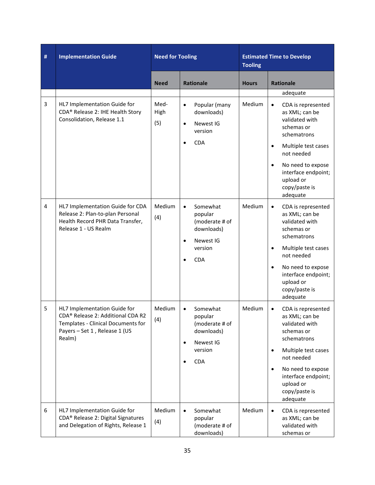| $\#$ | <b>Implementation Guide</b>                                                                                                                        | <b>Need for Tooling</b> |                                                                                                                                  | <b>Estimated Time to Develop</b><br><b>Tooling</b> |                                                                                                                                                                                                                                                       |
|------|----------------------------------------------------------------------------------------------------------------------------------------------------|-------------------------|----------------------------------------------------------------------------------------------------------------------------------|----------------------------------------------------|-------------------------------------------------------------------------------------------------------------------------------------------------------------------------------------------------------------------------------------------------------|
|      |                                                                                                                                                    | <b>Need</b>             | <b>Rationale</b>                                                                                                                 | <b>Hours</b>                                       | <b>Rationale</b>                                                                                                                                                                                                                                      |
| 3    | HL7 Implementation Guide for<br>CDA® Release 2: IHE Health Story<br>Consolidation, Release 1.1                                                     | Med-<br>High<br>(5)     | Popular (many<br>$\bullet$<br>downloads)<br>Newest IG<br>$\bullet$<br>version<br><b>CDA</b><br>$\bullet$                         | Medium                                             | adequate<br>CDA is represented<br>$\bullet$<br>as XML; can be<br>validated with<br>schemas or<br>schematrons<br>Multiple test cases<br>$\bullet$<br>not needed                                                                                        |
|      |                                                                                                                                                    |                         |                                                                                                                                  |                                                    | No need to expose<br>$\bullet$<br>interface endpoint;<br>upload or<br>copy/paste is<br>adequate                                                                                                                                                       |
| 4    | HL7 Implementation Guide for CDA<br>Release 2: Plan-to-plan Personal<br>Health Record PHR Data Transfer,<br>Release 1 - US Realm                   | Medium<br>(4)           | Somewhat<br>$\bullet$<br>popular<br>(moderate # of<br>downloads)<br>Newest IG<br>$\bullet$<br>version<br><b>CDA</b><br>$\bullet$ | Medium                                             | CDA is represented<br>$\bullet$<br>as XML; can be<br>validated with<br>schemas or<br>schematrons<br>Multiple test cases<br>$\bullet$<br>not needed<br>No need to expose<br>$\bullet$<br>interface endpoint;<br>upload or<br>copy/paste is<br>adequate |
| 5    | HL7 Implementation Guide for<br>CDA® Release 2: Additional CDA R2<br>Templates - Clinical Documents for<br>Payers - Set 1, Release 1 (US<br>Realm) | Medium<br>(4)           | Somewhat<br>$\bullet$<br>popular<br>(moderate # of<br>downloads)<br>Newest IG<br>$\bullet$<br>version<br><b>CDA</b><br>$\bullet$ | Medium                                             | CDA is represented<br>$\bullet$<br>as XML; can be<br>validated with<br>schemas or<br>schematrons<br>Multiple test cases<br>$\bullet$<br>not needed<br>No need to expose<br>$\bullet$<br>interface endpoint;<br>upload or<br>copy/paste is<br>adequate |
| 6    | HL7 Implementation Guide for<br>CDA <sup>®</sup> Release 2: Digital Signatures<br>and Delegation of Rights, Release 1                              | Medium<br>(4)           | Somewhat<br>$\bullet$<br>popular<br>(moderate # of<br>downloads)                                                                 | Medium                                             | CDA is represented<br>$\bullet$<br>as XML; can be<br>validated with<br>schemas or                                                                                                                                                                     |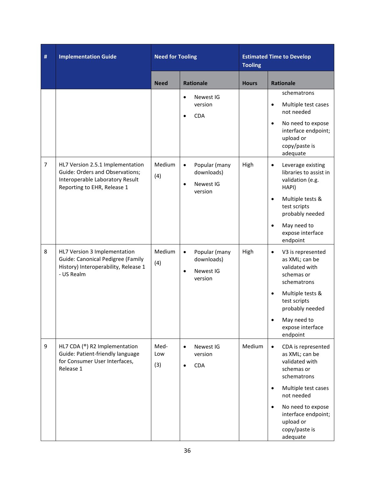| $\#$           | <b>Implementation Guide</b>                                                                                                                  |                    | <b>Need for Tooling</b>                                                       |              | <b>Estimated Time to Develop</b>                                                                                                                                                                                                                      |
|----------------|----------------------------------------------------------------------------------------------------------------------------------------------|--------------------|-------------------------------------------------------------------------------|--------------|-------------------------------------------------------------------------------------------------------------------------------------------------------------------------------------------------------------------------------------------------------|
|                |                                                                                                                                              | <b>Need</b>        | <b>Rationale</b>                                                              | <b>Hours</b> | <b>Rationale</b>                                                                                                                                                                                                                                      |
|                |                                                                                                                                              |                    | Newest IG<br>$\bullet$<br>version<br><b>CDA</b><br>$\bullet$                  |              | schematrons<br>Multiple test cases<br>$\bullet$<br>not needed<br>No need to expose<br>$\bullet$<br>interface endpoint;<br>upload or<br>copy/paste is<br>adequate                                                                                      |
| $\overline{7}$ | HL7 Version 2.5.1 Implementation<br><b>Guide: Orders and Observations;</b><br>Interoperable Laboratory Result<br>Reporting to EHR, Release 1 | Medium<br>(4)      | Popular (many<br>$\bullet$<br>downloads)<br>Newest IG<br>$\bullet$<br>version | High         | Leverage existing<br>$\bullet$<br>libraries to assist in<br>validation (e.g.<br>HAPI)<br>Multiple tests &<br>$\bullet$<br>test scripts<br>probably needed<br>May need to<br>$\bullet$<br>expose interface<br>endpoint                                 |
| 8              | HL7 Version 3 Implementation<br>Guide: Canonical Pedigree (Family<br>History) Interoperability, Release 1<br>- US Realm                      | Medium<br>(4)      | Popular (many<br>$\bullet$<br>downloads)<br>Newest IG<br>$\bullet$<br>version | High         | V3 is represented<br>$\bullet$<br>as XML; can be<br>validated with<br>schemas or<br>schematrons<br>Multiple tests &<br>$\bullet$<br>test scripts<br>probably needed<br>May need to<br>expose interface<br>endpoint                                    |
| 9              | HL7 CDA (®) R2 Implementation<br>Guide: Patient-friendly language<br>for Consumer User Interfaces,<br>Release 1                              | Med-<br>Low<br>(3) | Newest IG<br>$\bullet$<br>version<br>CDA<br>$\bullet$                         | Medium       | CDA is represented<br>$\bullet$<br>as XML; can be<br>validated with<br>schemas or<br>schematrons<br>Multiple test cases<br>$\bullet$<br>not needed<br>No need to expose<br>$\bullet$<br>interface endpoint;<br>upload or<br>copy/paste is<br>adequate |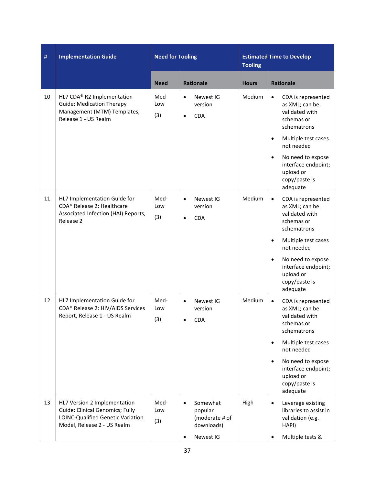| $\#$ | <b>Implementation Guide</b>                                                                                                                | <b>Need for Tooling</b> |                                                                               | <b>Estimated Time to Develop</b><br><b>Tooling</b> |                                                                                                                                                                                                                                                       |
|------|--------------------------------------------------------------------------------------------------------------------------------------------|-------------------------|-------------------------------------------------------------------------------|----------------------------------------------------|-------------------------------------------------------------------------------------------------------------------------------------------------------------------------------------------------------------------------------------------------------|
|      |                                                                                                                                            | <b>Need</b>             | <b>Rationale</b>                                                              | <b>Hours</b>                                       | <b>Rationale</b>                                                                                                                                                                                                                                      |
| 10   | HL7 CDA® R2 Implementation<br><b>Guide: Medication Therapy</b><br>Management (MTM) Templates,<br>Release 1 - US Realm                      | Med-<br>Low<br>(3)      | Newest IG<br>$\bullet$<br>version<br><b>CDA</b><br>$\bullet$                  | Medium                                             | CDA is represented<br>$\bullet$<br>as XML; can be<br>validated with<br>schemas or<br>schematrons<br>Multiple test cases<br>$\bullet$<br>not needed<br>No need to expose<br>$\bullet$<br>interface endpoint;<br>upload or<br>copy/paste is<br>adequate |
| 11   | HL7 Implementation Guide for<br>CDA® Release 2: Healthcare<br>Associated Infection (HAI) Reports,<br>Release 2                             | Med-<br>Low<br>(3)      | Newest IG<br>$\bullet$<br>version<br><b>CDA</b><br>$\bullet$                  | Medium                                             | CDA is represented<br>$\bullet$<br>as XML; can be<br>validated with<br>schemas or<br>schematrons<br>Multiple test cases<br>$\bullet$<br>not needed<br>No need to expose<br>$\bullet$<br>interface endpoint;<br>upload or<br>copy/paste is<br>adequate |
| 12   | HL7 Implementation Guide for<br>CDA® Release 2: HIV/AIDS Services<br>Report, Release 1 - US Realm                                          | Med-<br>Low<br>(3)      | Newest IG<br>$\bullet$<br>version<br><b>CDA</b>                               | Medium                                             | CDA is represented<br>$\bullet$<br>as XML; can be<br>validated with<br>schemas or<br>schematrons<br>Multiple test cases<br>$\bullet$<br>not needed<br>No need to expose<br>$\bullet$<br>interface endpoint;<br>upload or<br>copy/paste is<br>adequate |
| 13   | HL7 Version 2 Implementation<br><b>Guide: Clinical Genomics; Fully</b><br>LOINC-Qualified Genetic Variation<br>Model, Release 2 - US Realm | Med-<br>Low<br>(3)      | Somewhat<br>$\bullet$<br>popular<br>(moderate # of<br>downloads)<br>Newest IG | High                                               | Leverage existing<br>$\bullet$<br>libraries to assist in<br>validation (e.g.<br>HAPI)<br>Multiple tests &<br>٠                                                                                                                                        |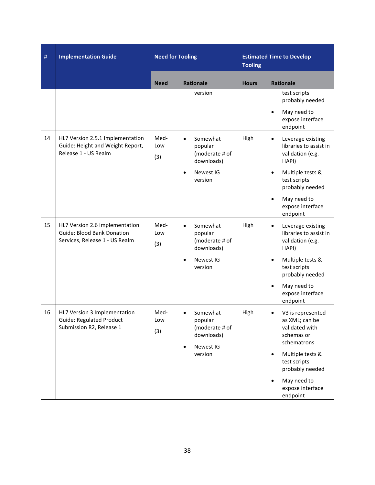| #  | <b>Implementation Guide</b>                                                                           | <b>Need for Tooling</b> |                                                                                                       | <b>Estimated Time to Develop</b><br><b>Tooling</b> |                                                                                                                                                           |
|----|-------------------------------------------------------------------------------------------------------|-------------------------|-------------------------------------------------------------------------------------------------------|----------------------------------------------------|-----------------------------------------------------------------------------------------------------------------------------------------------------------|
|    |                                                                                                       | <b>Need</b>             | <b>Rationale</b>                                                                                      | <b>Hours</b>                                       | <b>Rationale</b>                                                                                                                                          |
|    |                                                                                                       |                         | version                                                                                               |                                                    | test scripts<br>probably needed<br>May need to<br>$\bullet$<br>expose interface<br>endpoint                                                               |
| 14 | HL7 Version 2.5.1 Implementation<br>Guide: Height and Weight Report,<br>Release 1 - US Realm          | Med-<br>Low<br>(3)      | Somewhat<br>$\bullet$<br>popular<br>(moderate # of<br>downloads)<br>Newest IG<br>$\bullet$<br>version | High                                               | Leverage existing<br>$\bullet$<br>libraries to assist in<br>validation (e.g.<br>HAPI)<br>Multiple tests &<br>$\bullet$<br>test scripts<br>probably needed |
|    |                                                                                                       |                         |                                                                                                       |                                                    | May need to<br>$\bullet$<br>expose interface<br>endpoint                                                                                                  |
| 15 | HL7 Version 2.6 Implementation<br><b>Guide: Blood Bank Donation</b><br>Services, Release 1 - US Realm | Med-<br>Low<br>(3)      | Somewhat<br>$\bullet$<br>popular<br>(moderate # of<br>downloads)                                      | High                                               | Leverage existing<br>$\bullet$<br>libraries to assist in<br>validation (e.g.<br>HAPI)                                                                     |
|    |                                                                                                       |                         | Newest IG<br>$\bullet$<br>version                                                                     |                                                    | Multiple tests &<br>$\bullet$<br>test scripts<br>probably needed                                                                                          |
|    |                                                                                                       |                         |                                                                                                       |                                                    | May need to<br>$\bullet$<br>expose interface<br>endpoint                                                                                                  |
| 16 | HL7 Version 3 Implementation<br><b>Guide: Regulated Product</b><br>Submission R2, Release 1           | Med-<br>Low<br>(3)      | Somewhat<br>$\bullet$<br>popular<br>(moderate # of<br>downloads)<br>Newest IG<br>$\bullet$            | High                                               | V3 is represented<br>$\bullet$<br>as XML; can be<br>validated with<br>schemas or<br>schematrons                                                           |
|    |                                                                                                       |                         | version                                                                                               |                                                    | Multiple tests &<br>$\bullet$<br>test scripts<br>probably needed                                                                                          |
|    |                                                                                                       |                         |                                                                                                       |                                                    | May need to<br>$\bullet$<br>expose interface<br>endpoint                                                                                                  |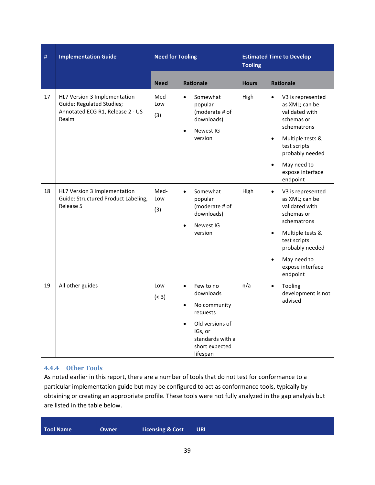| $\#$ | <b>Implementation Guide</b>                                                                                   | <b>Need for Tooling</b> |                                                                                                                                                                           | <b>Estimated Time to Develop</b><br><b>Tooling</b> |                                                                                                                                                                                                                                 |
|------|---------------------------------------------------------------------------------------------------------------|-------------------------|---------------------------------------------------------------------------------------------------------------------------------------------------------------------------|----------------------------------------------------|---------------------------------------------------------------------------------------------------------------------------------------------------------------------------------------------------------------------------------|
|      |                                                                                                               | <b>Need</b>             | <b>Rationale</b>                                                                                                                                                          | <b>Hours</b>                                       | <b>Rationale</b>                                                                                                                                                                                                                |
| 17   | HL7 Version 3 Implementation<br><b>Guide: Regulated Studies;</b><br>Annotated ECG R1, Release 2 - US<br>Realm | Med-<br>Low<br>(3)      | Somewhat<br>$\bullet$<br>popular<br>(moderate # of<br>downloads)<br>Newest IG<br>$\bullet$<br>version                                                                     | High                                               | V3 is represented<br>$\bullet$<br>as XML; can be<br>validated with<br>schemas or<br>schematrons<br>Multiple tests &<br>$\bullet$<br>test scripts<br>probably needed<br>May need to<br>$\bullet$<br>expose interface<br>endpoint |
| 18   | HL7 Version 3 Implementation<br>Guide: Structured Product Labeling,<br>Release 5                              | Med-<br>Low<br>(3)      | Somewhat<br>$\bullet$<br>popular<br>(moderate # of<br>downloads)<br>Newest IG<br>$\bullet$<br>version                                                                     | High                                               | V3 is represented<br>$\bullet$<br>as XML; can be<br>validated with<br>schemas or<br>schematrons<br>Multiple tests &<br>$\bullet$<br>test scripts<br>probably needed<br>May need to<br>$\bullet$<br>expose interface<br>endpoint |
| 19   | All other guides                                                                                              | Low<br>(< 3)            | Few to no<br>$\bullet$<br>downloads<br>No community<br>$\bullet$<br>requests<br>Old versions of<br>$\bullet$<br>IGs, or<br>standards with a<br>short expected<br>lifespan | n/a                                                | Tooling<br>$\bullet$<br>development is not<br>advised                                                                                                                                                                           |

#### **4.4.4 Other Tools**

As noted earlier in this report, there are a number of tools that do not test for conformance to a particular implementation guide but may be configured to act as conformance tools, typically by obtaining or creating an appropriate profile. These tools were not fully analyzed in the gap analysis but are listed in the table below.

| Tool Name | <b>Owner</b> | <b>Licensing &amp; Cost</b> | <b>URL</b> |
|-----------|--------------|-----------------------------|------------|
|           |              |                             |            |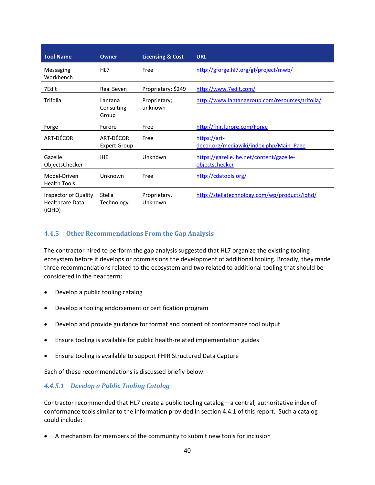| <b>Tool Name</b>                                         | Owner                            | <b>Licensing &amp; Cost</b> | <b>URL</b>                                                 |
|----------------------------------------------------------|----------------------------------|-----------------------------|------------------------------------------------------------|
| Messaging<br>Workbench                                   | HL7                              | Free                        | http://gforge.hl7.org/gf/project/mwb/                      |
| 7Edit                                                    | Real Seven                       | Proprietary; \$249          | http://www.7edit.com/                                      |
| Trifolia                                                 | Lantana<br>Consulting<br>Group   | Proprietary;<br>unknown     | http://www.lantanagroup.com/resources/trifolia/            |
| Forge                                                    | Furore                           | Free                        | http://fhir.furore.com/Forge                               |
| ART-DÉCOR                                                | ART-DÉCOR<br><b>Expert Group</b> | Free                        | https://art-<br>decor.org/mediawiki/index.php/Main Page    |
| Gazelle<br>ObjectsChecker                                | <b>IHE</b>                       | Unknown                     | https://gazelle.ihe.net/content/gazelle-<br>objectschecker |
| Model-Driven<br><b>Health Tools</b>                      | Unknown                          | Free                        | http://cdatools.org/                                       |
| Inspector of Quality<br><b>Healthcare Data</b><br>(iQHD) | Stella<br>Technology             | Proprietary,<br>Unknown     | http://stellatechnology.com/wp/products/ighd/              |

#### **4.4.5 Other Recommendations From the Gap Analysis**

The contractor hired to perform the gap analysis suggested that HL7 organize the existing tooling ecosystem before it develops or commissions the development of additional tooling. Broadly, they made three recommendations related to the ecosystem and two related to additional tooling that should be considered in the near term:

- Develop a public tooling catalog
- Develop a tooling endorsement or certification program
- Develop and provide guidance for format and content of conformance tool output
- Ensure tooling is available for public health-related implementation guides
- Ensure tooling is available to support FHIR Structured Data Capture

Each of these recommendations is discussed briefly below.

#### *4.4.5.1 Develop a Public Tooling Catalog*

Contractor recommended that HL7 create a public tooling catalog – a central, authoritative index of conformance tools similar to the information provided in section 4.4.1 of this report. Such a catalog could include:

• A mechanism for members of the community to submit new tools for inclusion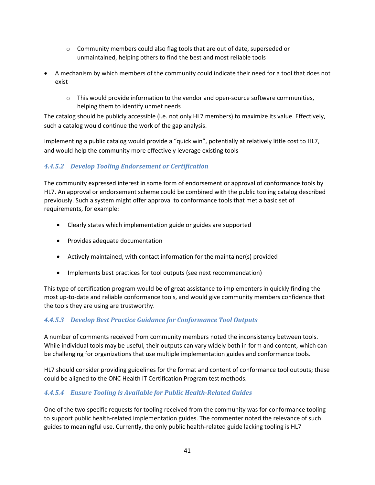- o Community members could also flag tools that are out of date, superseded or unmaintained, helping others to find the best and most reliable tools
- A mechanism by which members of the community could indicate their need for a tool that does not exist
	- $\circ$  This would provide information to the vendor and open-source software communities, helping them to identify unmet needs

The catalog should be publicly accessible (i.e. not only HL7 members) to maximize its value. Effectively, such a catalog would continue the work of the gap analysis.

Implementing a public catalog would provide a "quick win", potentially at relatively little cost to HL7, and would help the community more effectively leverage existing tools

## *4.4.5.2 Develop Tooling Endorsement or Certification*

The community expressed interest in some form of endorsement or approval of conformance tools by HL7. An approval or endorsement scheme could be combined with the public tooling catalog described previously. Such a system might offer approval to conformance tools that met a basic set of requirements, for example:

- Clearly states which implementation guide or guides are supported
- Provides adequate documentation
- Actively maintained, with contact information for the maintainer(s) provided
- Implements best practices for tool outputs (see next recommendation)

This type of certification program would be of great assistance to implementers in quickly finding the most up-to-date and reliable conformance tools, and would give community members confidence that the tools they are using are trustworthy.

## *4.4.5.3 Develop Best Practice Guidance for Conformance Tool Outputs*

A number of comments received from community members noted the inconsistency between tools. While individual tools may be useful, their outputs can vary widely both in form and content, which can be challenging for organizations that use multiple implementation guides and conformance tools.

HL7 should consider providing guidelines for the format and content of conformance tool outputs; these could be aligned to the ONC Health IT Certification Program test methods.

## *4.4.5.4 Ensure Tooling is Available for Public Health-Related Guides*

One of the two specific requests for tooling received from the community was for conformance tooling to support public health-related implementation guides. The commenter noted the relevance of such guides to meaningful use. Currently, the only public health-related guide lacking tooling is HL7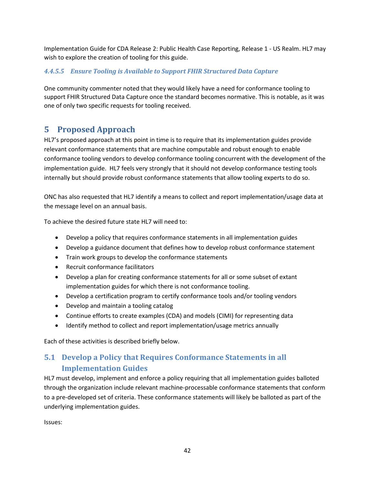Implementation Guide for CDA Release 2: Public Health Case Reporting, Release 1 - US Realm. HL7 may wish to explore the creation of tooling for this guide.

#### *4.4.5.5 Ensure Tooling is Available to Support FHIR Structured Data Capture*

One community commenter noted that they would likely have a need for conformance tooling to support FHIR Structured Data Capture once the standard becomes normative. This is notable, as it was one of only two specific requests for tooling received.

## **5 Proposed Approach**

HL7's proposed approach at this point in time is to require that its implementation guides provide relevant conformance statements that are machine computable and robust enough to enable conformance tooling vendors to develop conformance tooling concurrent with the development of the implementation guide. HL7 feels very strongly that it should not develop conformance testing tools internally but should provide robust conformance statements that allow tooling experts to do so.

ONC has also requested that HL7 identify a means to collect and report implementation/usage data at the message level on an annual basis.

To achieve the desired future state HL7 will need to:

- Develop a policy that requires conformance statements in all implementation guides
- Develop a guidance document that defines how to develop robust conformance statement
- Train work groups to develop the conformance statements
- Recruit conformance facilitators
- Develop a plan for creating conformance statements for all or some subset of extant implementation guides for which there is not conformance tooling.
- Develop a certification program to certify conformance tools and/or tooling vendors
- Develop and maintain a tooling catalog
- Continue efforts to create examples (CDA) and models (CIMI) for representing data
- Identify method to collect and report implementation/usage metrics annually

Each of these activities is described briefly below.

## **5.1 Develop a Policy that Requires Conformance Statements in all Implementation Guides**

HL7 must develop, implement and enforce a policy requiring that all implementation guides balloted through the organization include relevant machine-processable conformance statements that conform to a pre-developed set of criteria. These conformance statements will likely be balloted as part of the underlying implementation guides.

Issues: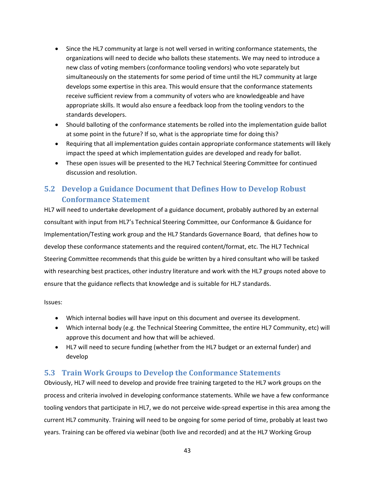- Since the HL7 community at large is not well versed in writing conformance statements, the organizations will need to decide who ballots these statements. We may need to introduce a new class of voting members (conformance tooling vendors) who vote separately but simultaneously on the statements for some period of time until the HL7 community at large develops some expertise in this area. This would ensure that the conformance statements receive sufficient review from a community of voters who are knowledgeable and have appropriate skills. It would also ensure a feedback loop from the tooling vendors to the standards developers.
- Should balloting of the conformance statements be rolled into the implementation guide ballot at some point in the future? If so, what is the appropriate time for doing this?
- Requiring that all implementation guides contain appropriate conformance statements will likely impact the speed at which implementation guides are developed and ready for ballot.
- These open issues will be presented to the HL7 Technical Steering Committee for continued discussion and resolution.

## **5.2 Develop a Guidance Document that Defines How to Develop Robust Conformance Statement**

HL7 will need to undertake development of a guidance document, probably authored by an external consultant with input from HL7's Technical Steering Committee, our Conformance & Guidance for Implementation/Testing work group and the HL7 Standards Governance Board, that defines how to develop these conformance statements and the required content/format, etc. The HL7 Technical Steering Committee recommends that this guide be written by a hired consultant who will be tasked with researching best practices, other industry literature and work with the HL7 groups noted above to ensure that the guidance reflects that knowledge and is suitable for HL7 standards.

Issues:

- Which internal bodies will have input on this document and oversee its development.
- Which internal body (e.g. the Technical Steering Committee, the entire HL7 Community, etc) will approve this document and how that will be achieved.
- HL7 will need to secure funding (whether from the HL7 budget or an external funder) and develop

#### **5.3 Train Work Groups to Develop the Conformance Statements**

Obviously, HL7 will need to develop and provide free training targeted to the HL7 work groups on the process and criteria involved in developing conformance statements. While we have a few conformance tooling vendors that participate in HL7, we do not perceive wide-spread expertise in this area among the current HL7 community. Training will need to be ongoing for some period of time, probably at least two years. Training can be offered via webinar (both live and recorded) and at the HL7 Working Group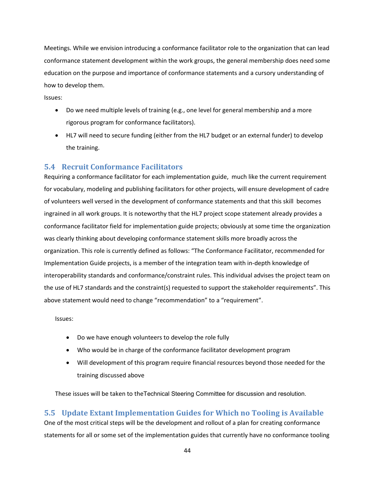Meetings. While we envision introducing a conformance facilitator role to the organization that can lead conformance statement development within the work groups, the general membership does need some education on the purpose and importance of conformance statements and a cursory understanding of how to develop them.

Issues:

- Do we need multiple levels of training (e.g., one level for general membership and a more rigorous program for conformance facilitators).
- HL7 will need to secure funding (either from the HL7 budget or an external funder) to develop the training.

#### **5.4 Recruit Conformance Facilitators**

Requiring a conformance facilitator for each implementation guide, much like the current requirement for vocabulary, modeling and publishing facilitators for other projects, will ensure development of cadre of volunteers well versed in the development of conformance statements and that this skill becomes ingrained in all work groups. It is noteworthy that the HL7 project scope statement already provides a conformance facilitator field for implementation guide projects; obviously at some time the organization was clearly thinking about developing conformance statement skills more broadly across the organization. This role is currently defined as follows: "The Conformance Facilitator, recommended for Implementation Guide projects, is a member of the integration team with in-depth knowledge of interoperability standards and conformance/constraint rules. This individual advises the project team on the use of HL7 standards and the constraint(s) requested to support the stakeholder requirements". This above statement would need to change "recommendation" to a "requirement".

Issues:

- Do we have enough volunteers to develop the role fully
- Who would be in charge of the conformance facilitator development program
- Will development of this program require financial resources beyond those needed for the training discussed above

These issues will be taken to theTechnical Steering Committee for discussion and resolution.

**5.5 Update Extant Implementation Guides for Which no Tooling is Available**  One of the most critical steps will be the development and rollout of a plan for creating conformance statements for all or some set of the implementation guides that currently have no conformance tooling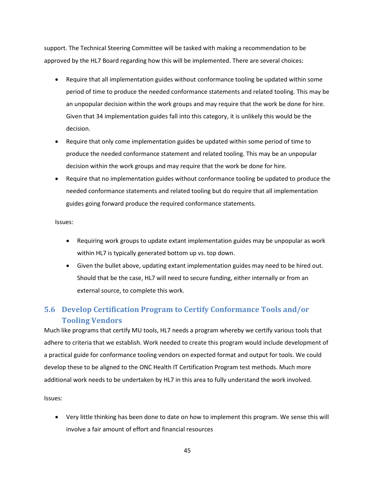support. The Technical Steering Committee will be tasked with making a recommendation to be approved by the HL7 Board regarding how this will be implemented. There are several choices:

- Require that all implementation guides without conformance tooling be updated within some period of time to produce the needed conformance statements and related tooling. This may be an unpopular decision within the work groups and may require that the work be done for hire. Given that 34 implementation guides fall into this category, it is unlikely this would be the decision.
- Require that only come implementation guides be updated within some period of time to produce the needed conformance statement and related tooling. This may be an unpopular decision within the work groups and may require that the work be done for hire.
- Require that no implementation guides without conformance tooling be updated to produce the needed conformance statements and related tooling but do require that all implementation guides going forward produce the required conformance statements.

Issues:

- Requiring work groups to update extant implementation guides may be unpopular as work within HL7 is typically generated bottom up vs. top down.
- Given the bullet above, updating extant implementation guides may need to be hired out. Should that be the case, HL7 will need to secure funding, either internally or from an external source, to complete this work.

## **5.6 Develop Certification Program to Certify Conformance Tools and/or Tooling Vendors**

Much like programs that certify MU tools, HL7 needs a program whereby we certify various tools that adhere to criteria that we establish. Work needed to create this program would include development of a practical guide for conformance tooling vendors on expected format and output for tools. We could develop these to be aligned to the ONC Health IT Certification Program test methods. Much more additional work needs to be undertaken by HL7 in this area to fully understand the work involved.

Issues:

• Very little thinking has been done to date on how to implement this program. We sense this will involve a fair amount of effort and financial resources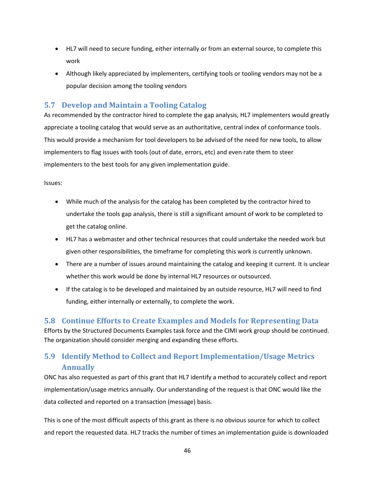- HL7 will need to secure funding, either internally or from an external source, to complete this work
- Although likely appreciated by implementers, certifying tools or tooling vendors may not be a popular decision among the tooling vendors

## **5.7 Develop and Maintain a Tooling Catalog**

As recommended by the contractor hired to complete the gap analysis, HL7 implementers would greatly appreciate a tooling catalog that would serve as an authoritative, central index of conformance tools. This would provide a mechanism for tool developers to be advised of the need for new tools, to allow implementers to flag issues with tools (out of date, errors, etc) and even rate them to steer implementers to the best tools for any given implementation guide.

Issues:

- While much of the analysis for the catalog has been completed by the contractor hired to undertake the tools gap analysis, there is still a significant amount of work to be completed to get the catalog online.
- HL7 has a webmaster and other technical resources that could undertake the needed work but given other responsibilities, the timeframe for completing this work is currently unknown.
- There are a number of issues around maintaining the catalog and keeping it current. It is unclear whether this work would be done by internal HL7 resources or outsourced.
- If the catalog is to be developed and maintained by an outside resource, HL7 will need to find funding, either internally or externally, to complete the work.

## **5.8 Continue Efforts to Create Examples and Models for Representing Data**

Efforts by the Structured Documents Examples task force and the CIMI work group should be continued. The organization should consider merging and expanding these efforts.

## **5.9 Identify Method to Collect and Report Implementation/Usage Metrics Annually**

ONC has also requested as part of this grant that HL7 identify a method to accurately collect and report implementation/usage metrics annually. Our understanding of the request is that ONC would like the data collected and reported on a transaction (message) basis.

This is one of the most difficult aspects of this grant as there is no obvious source for which to collect and report the requested data. HL7 tracks the number of times an implementation guide is downloaded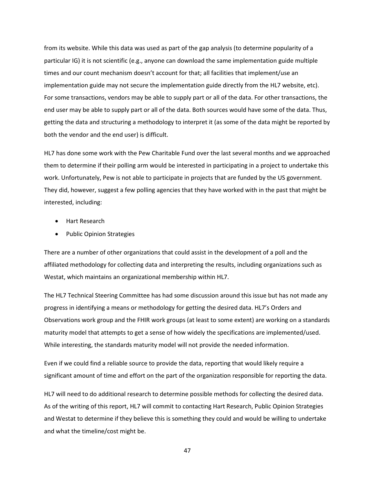from its website. While this data was used as part of the gap analysis (to determine popularity of a particular IG) it is not scientific (e.g., anyone can download the same implementation guide multiple times and our count mechanism doesn't account for that; all facilities that implement/use an implementation guide may not secure the implementation guide directly from the HL7 website, etc). For some transactions, vendors may be able to supply part or all of the data. For other transactions, the end user may be able to supply part or all of the data. Both sources would have some of the data. Thus, getting the data and structuring a methodology to interpret it (as some of the data might be reported by both the vendor and the end user) is difficult.

HL7 has done some work with the Pew Charitable Fund over the last several months and we approached them to determine if their polling arm would be interested in participating in a project to undertake this work. Unfortunately, Pew is not able to participate in projects that are funded by the US government. They did, however, suggest a few polling agencies that they have worked with in the past that might be interested, including:

- Hart Research
- Public Opinion Strategies

There are a number of other organizations that could assist in the development of a poll and the affiliated methodology for collecting data and interpreting the results, including organizations such as Westat, which maintains an organizational membership within HL7.

The HL7 Technical Steering Committee has had some discussion around this issue but has not made any progress in identifying a means or methodology for getting the desired data. HL7's Orders and Observations work group and the FHIR work groups (at least to some extent) are working on a standards maturity model that attempts to get a sense of how widely the specifications are implemented/used. While interesting, the standards maturity model will not provide the needed information.

Even if we could find a reliable source to provide the data, reporting that would likely require a significant amount of time and effort on the part of the organization responsible for reporting the data.

HL7 will need to do additional research to determine possible methods for collecting the desired data. As of the writing of this report, HL7 will commit to contacting Hart Research, Public Opinion Strategies and Westat to determine if they believe this is something they could and would be willing to undertake and what the timeline/cost might be.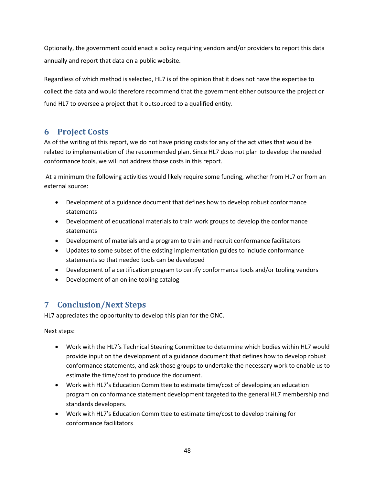Optionally, the government could enact a policy requiring vendors and/or providers to report this data annually and report that data on a public website.

Regardless of which method is selected, HL7 is of the opinion that it does not have the expertise to collect the data and would therefore recommend that the government either outsource the project or fund HL7 to oversee a project that it outsourced to a qualified entity.

## **6 Project Costs**

As of the writing of this report, we do not have pricing costs for any of the activities that would be related to implementation of the recommended plan. Since HL7 does not plan to develop the needed conformance tools, we will not address those costs in this report.

 At a minimum the following activities would likely require some funding, whether from HL7 or from an external source:

- Development of a guidance document that defines how to develop robust conformance statements
- Development of educational materials to train work groups to develop the conformance statements
- Development of materials and a program to train and recruit conformance facilitators
- Updates to some subset of the existing implementation guides to include conformance statements so that needed tools can be developed
- Development of a certification program to certify conformance tools and/or tooling vendors
- Development of an online tooling catalog

## **7 Conclusion/Next Steps**

HL7 appreciates the opportunity to develop this plan for the ONC.

Next steps:

- Work with the HL7's Technical Steering Committee to determine which bodies within HL7 would provide input on the development of a guidance document that defines how to develop robust conformance statements, and ask those groups to undertake the necessary work to enable us to estimate the time/cost to produce the document.
- Work with HL7's Education Committee to estimate time/cost of developing an education program on conformance statement development targeted to the general HL7 membership and standards developers.
- Work with HL7's Education Committee to estimate time/cost to develop training for conformance facilitators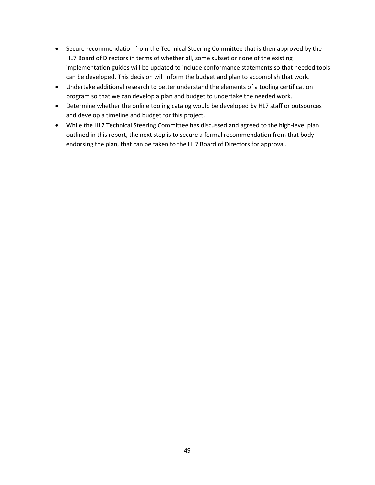- Secure recommendation from the Technical Steering Committee that is then approved by the HL7 Board of Directors in terms of whether all, some subset or none of the existing implementation guides will be updated to include conformance statements so that needed tools can be developed. This decision will inform the budget and plan to accomplish that work.
- Undertake additional research to better understand the elements of a tooling certification program so that we can develop a plan and budget to undertake the needed work.
- Determine whether the online tooling catalog would be developed by HL7 staff or outsources and develop a timeline and budget for this project.
- While the HL7 Technical Steering Committee has discussed and agreed to the high-level plan outlined in this report, the next step is to secure a formal recommendation from that body endorsing the plan, that can be taken to the HL7 Board of Directors for approval.